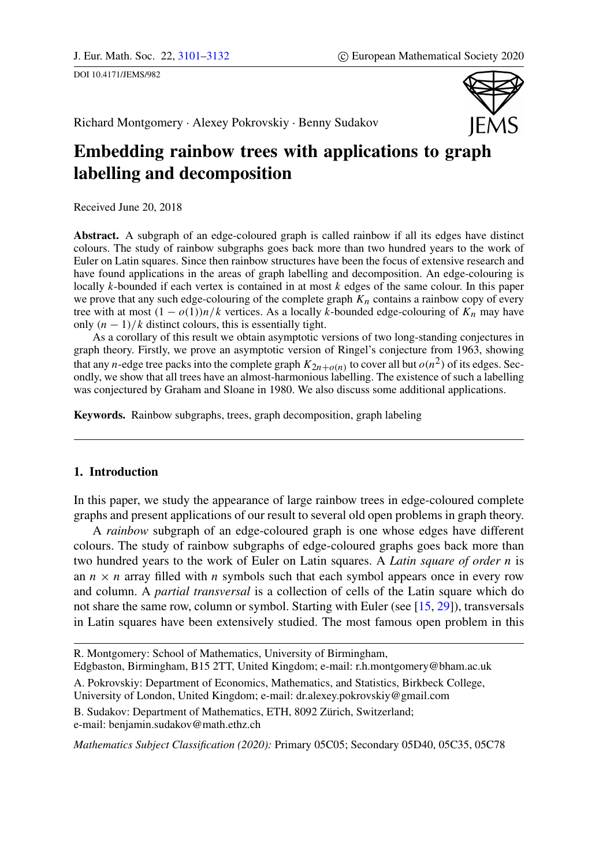<span id="page-0-0"></span>DOI 10.4171/JEMS/982



Richard Montgomery · Alexey Pokrovskiy · Benny Sudakov

# Embedding rainbow trees with applications to graph labelling and decomposition

Received June 20, 2018

Abstract. A subgraph of an edge-coloured graph is called rainbow if all its edges have distinct colours. The study of rainbow subgraphs goes back more than two hundred years to the work of Euler on Latin squares. Since then rainbow structures have been the focus of extensive research and have found applications in the areas of graph labelling and decomposition. An edge-colouring is locally  $k$ -bounded if each vertex is contained in at most  $k$  edges of the same colour. In this paper we prove that any such edge-colouring of the complete graph  $K_n$  contains a rainbow copy of every tree with at most  $(1 - o(1))n/k$  vertices. As a locally k-bounded edge-colouring of  $K_n$  may have only  $(n - 1)/k$  distinct colours, this is essentially tight.

As a corollary of this result we obtain asymptotic versions of two long-standing conjectures in graph theory. Firstly, we prove an asymptotic version of Ringel's conjecture from 1963, showing that any *n*-edge tree packs into the complete graph  $K_{2n+o(n)}$  to cover all but  $o(n^2)$  of its edges. Secondly, we show that all trees have an almost-harmonious labelling. The existence of such a labelling was conjectured by Graham and Sloane in 1980. We also discuss some additional applications.

Keywords. Rainbow subgraphs, trees, graph decomposition, graph labeling

# 1. Introduction

In this paper, we study the appearance of large rainbow trees in edge-coloured complete graphs and present applications of our result to several old open problems in graph theory.

A *rainbow* subgraph of an edge-coloured graph is one whose edges have different colours. The study of rainbow subgraphs of edge-coloured graphs goes back more than two hundred years to the work of Euler on Latin squares. A *Latin square of order* n is an  $n \times n$  array filled with n symbols such that each symbol appears once in every row and column. A *partial transversal* is a collection of cells of the Latin square which do not share the same row, column or symbol. Starting with Euler (see [\[15,](#page-30-0) [29\]](#page-31-1)), transversals in Latin squares have been extensively studied. The most famous open problem in this

B. Sudakov: Department of Mathematics, ETH, 8092 Zürich, Switzerland; e-mail: benjamin.sudakov@math.ethz.ch

*Mathematics Subject Classification (2020):* Primary 05C05; Secondary 05D40, 05C35, 05C78

R. Montgomery: School of Mathematics, University of Birmingham, Edgbaston, Birmingham, B15 2TT, United Kingdom; e-mail: r.h.montgomery@bham.ac.uk

A. Pokrovskiy: Department of Economics, Mathematics, and Statistics, Birkbeck College, University of London, United Kingdom; e-mail: dr.alexey.pokrovskiy@gmail.com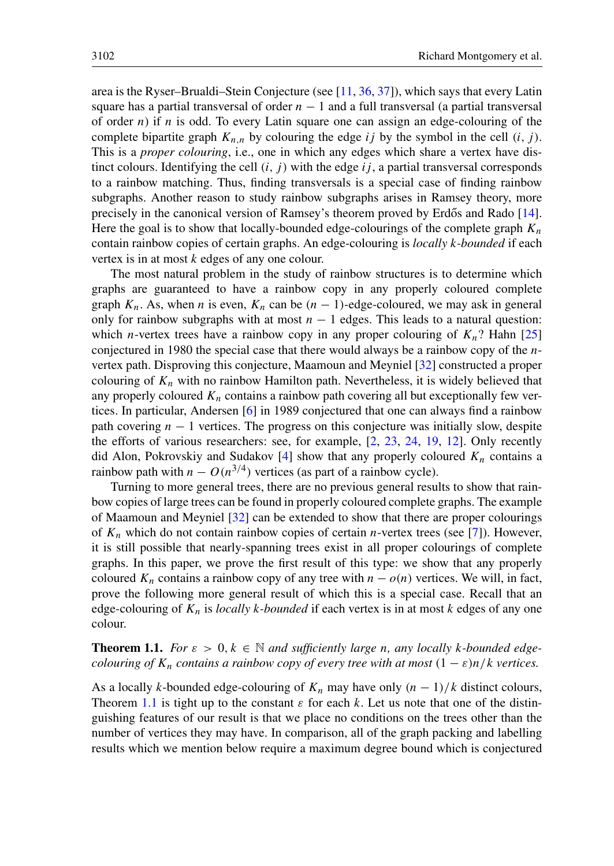area is the Ryser–Brualdi–Stein Conjecture (see [\[11,](#page-30-1) [36,](#page-31-2) [37\]](#page-31-3)), which says that every Latin square has a partial transversal of order  $n - 1$  and a full transversal (a partial transversal of order n) if n is odd. To every Latin square one can assign an edge-colouring of the complete bipartite graph  $K_{n,n}$  by colouring the edge ij by the symbol in the cell  $(i, j)$ . This is a *proper colouring*, i.e., one in which any edges which share a vertex have distinct colours. Identifying the cell  $(i, j)$  with the edge  $ij$ , a partial transversal corresponds to a rainbow matching. Thus, finding transversals is a special case of finding rainbow subgraphs. Another reason to study rainbow subgraphs arises in Ramsey theory, more precisely in the canonical version of Ramsey's theorem proved by Erdős and Rado [[14\]](#page-30-2). Here the goal is to show that locally-bounded edge-colourings of the complete graph  $K_n$ contain rainbow copies of certain graphs. An edge-colouring is *locally* k*-bounded* if each vertex is in at most k edges of any one colour.

The most natural problem in the study of rainbow structures is to determine which graphs are guaranteed to have a rainbow copy in any properly coloured complete graph  $K_n$ . As, when n is even,  $K_n$  can be  $(n - 1)$ -edge-coloured, we may ask in general only for rainbow subgraphs with at most  $n - 1$  edges. This leads to a natural question: which *n*-vertex trees have a rainbow copy in any proper colouring of  $K_n$ ? Hahn [\[25\]](#page-31-4) conjectured in 1980 the special case that there would always be a rainbow copy of the  $n$ vertex path. Disproving this conjecture, Maamoun and Meyniel [\[32\]](#page-31-5) constructed a proper colouring of  $K_n$  with no rainbow Hamilton path. Nevertheless, it is widely believed that any properly coloured  $K_n$  contains a rainbow path covering all but exceptionally few vertices. In particular, Andersen [\[6\]](#page-30-3) in 1989 conjectured that one can always find a rainbow path covering  $n - 1$  vertices. The progress on this conjecture was initially slow, despite the efforts of various researchers: see, for example,  $[2, 23, 24, 19, 12]$  $[2, 23, 24, 19, 12]$  $[2, 23, 24, 19, 12]$  $[2, 23, 24, 19, 12]$  $[2, 23, 24, 19, 12]$  $[2, 23, 24, 19, 12]$  $[2, 23, 24, 19, 12]$  $[2, 23, 24, 19, 12]$  $[2, 23, 24, 19, 12]$ . Only recently did Alon, Pokrovskiy and Sudakov [\[4\]](#page-30-7) show that any properly coloured  $K_n$  contains a rainbow path with  $n - O(n^{3/4})$  vertices (as part of a rainbow cycle).

Turning to more general trees, there are no previous general results to show that rainbow copies of large trees can be found in properly coloured complete graphs. The example of Maamoun and Meyniel [\[32\]](#page-31-5) can be extended to show that there are proper colourings of  $K_n$  which do not contain rainbow copies of certain *n*-vertex trees (see [\[7\]](#page-30-8)). However, it is still possible that nearly-spanning trees exist in all proper colourings of complete graphs. In this paper, we prove the first result of this type: we show that any properly coloured  $K_n$  contains a rainbow copy of any tree with  $n - o(n)$  vertices. We will, in fact, prove the following more general result of which this is a special case. Recall that an edge-colouring of K<sup>n</sup> is *locally* k*-bounded* if each vertex is in at most k edges of any one colour.

<span id="page-1-0"></span>**Theorem 1.1.** *For*  $\varepsilon > 0, k \in \mathbb{N}$  *and sufficiently large n, any locally k-bounded edgecolouring of*  $K_n$  *contains a rainbow copy of every tree with at most*  $(1 - \varepsilon)n/k$  *vertices.* 

As a locally k-bounded edge-colouring of  $K_n$  may have only  $(n - 1)/k$  distinct colours, Theorem [1.1](#page-1-0) is tight up to the constant  $\varepsilon$  for each k. Let us note that one of the distinguishing features of our result is that we place no conditions on the trees other than the number of vertices they may have. In comparison, all of the graph packing and labelling results which we mention below require a maximum degree bound which is conjectured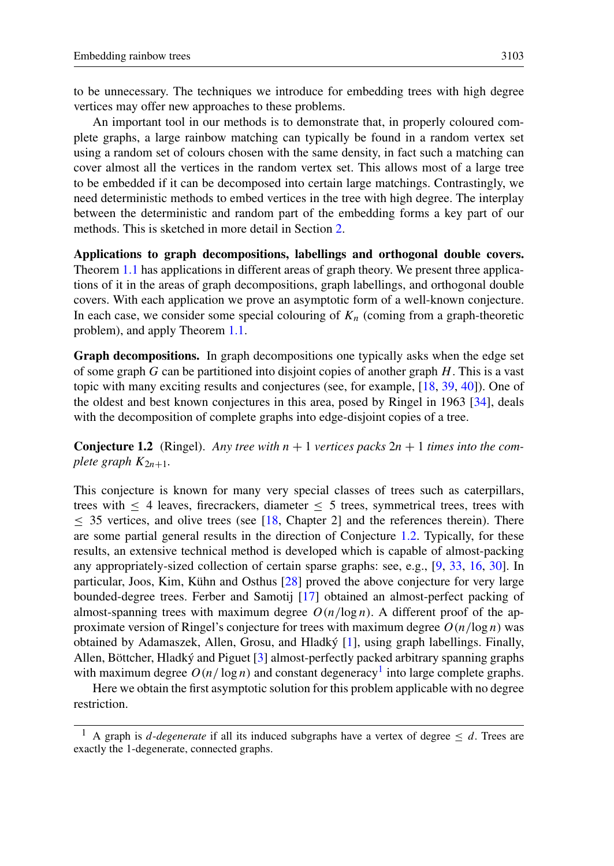to be unnecessary. The techniques we introduce for embedding trees with high degree vertices may offer new approaches to these problems.

An important tool in our methods is to demonstrate that, in properly coloured complete graphs, a large rainbow matching can typically be found in a random vertex set using a random set of colours chosen with the same density, in fact such a matching can cover almost all the vertices in the random vertex set. This allows most of a large tree to be embedded if it can be decomposed into certain large matchings. Contrastingly, we need deterministic methods to embed vertices in the tree with high degree. The interplay between the deterministic and random part of the embedding forms a key part of our methods. This is sketched in more detail in Section [2.](#page-5-0)

Applications to graph decompositions, labellings and orthogonal double covers. Theorem [1.1](#page-1-0) has applications in different areas of graph theory. We present three applications of it in the areas of graph decompositions, graph labellings, and orthogonal double covers. With each application we prove an asymptotic form of a well-known conjecture. In each case, we consider some special colouring of  $K_n$  (coming from a graph-theoretic problem), and apply Theorem [1.1.](#page-1-0)

Graph decompositions. In graph decompositions one typically asks when the edge set of some graph G can be partitioned into disjoint copies of another graph  $H$ . This is a vast topic with many exciting results and conjectures (see, for example, [\[18,](#page-30-9) [39,](#page-31-8) [40\]](#page-31-9)). One of the oldest and best known conjectures in this area, posed by Ringel in 1963 [\[34\]](#page-31-10), deals with the decomposition of complete graphs into edge-disjoint copies of a tree.

<span id="page-2-0"></span>**Conjecture 1.2** (Ringel). Any tree with  $n + 1$  vertices packs  $2n + 1$  times into the com*plete graph*  $K_{2n+1}$ *.* 

This conjecture is known for many very special classes of trees such as caterpillars, trees with  $\leq 4$  leaves, firecrackers, diameter  $\leq 5$  trees, symmetrical trees, trees with ≤ 35 vertices, and olive trees (see [\[18,](#page-30-9) Chapter 2] and the references therein). There are some partial general results in the direction of Conjecture [1.2.](#page-2-0) Typically, for these results, an extensive technical method is developed which is capable of almost-packing any appropriately-sized collection of certain sparse graphs: see, e.g., [\[9,](#page-30-10) [33,](#page-31-11) [16,](#page-30-11) [30\]](#page-31-12). In particular, Joos, Kim, Kühn and Osthus [\[28\]](#page-31-13) proved the above conjecture for very large bounded-degree trees. Ferber and Samotij [\[17\]](#page-30-12) obtained an almost-perfect packing of almost-spanning trees with maximum degree  $O(n/\log n)$ . A different proof of the approximate version of Ringel's conjecture for trees with maximum degree  $O(n/\log n)$  was obtained by Adamaszek, Allen, Grosu, and Hladký [\[1\]](#page-30-13), using graph labellings. Finally, Allen, Böttcher, Hladký and Piguet [\[3\]](#page-30-14) almost-perfectly packed arbitrary spanning graphs with maximum degree  $O(n/\log n)$  and constant degeneracy<sup>[1](#page-2-1)</sup> into large complete graphs.

Here we obtain the first asymptotic solution for this problem applicable with no degree restriction.

<span id="page-2-2"></span><span id="page-2-1"></span>A graph is *d*-degenerate if all its induced subgraphs have a vertex of degree  $\leq d$ . Trees are exactly the 1-degenerate, connected graphs.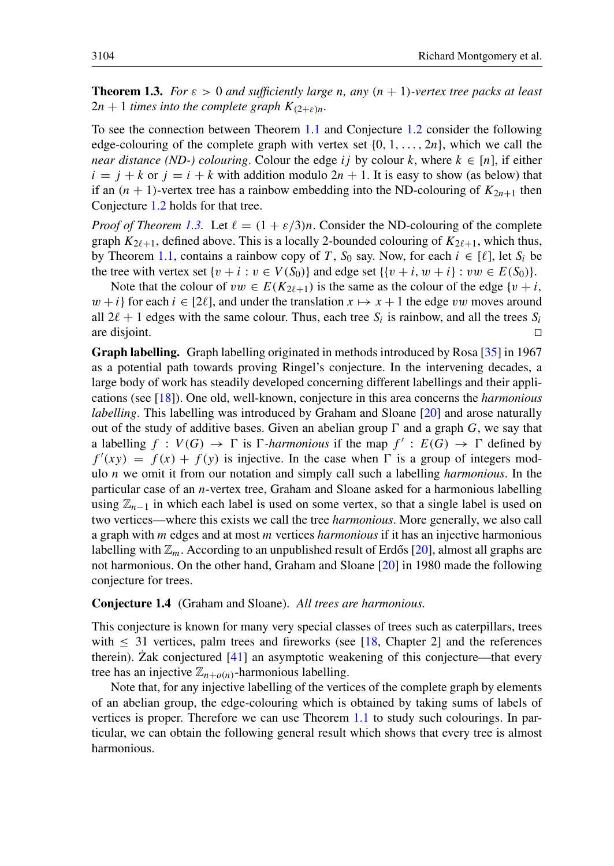**Theorem 1.3.** *For*  $\varepsilon > 0$  *and sufficiently large n, any*  $(n + 1)$ *-vertex tree packs at least*  $2n + 1$  *times into the complete graph*  $K_{(2+\varepsilon)n}$ *.* 

To see the connection between Theorem [1.1](#page-1-0) and Conjecture [1.2](#page-2-0) consider the following edge-colouring of the complete graph with vertex set  $\{0, 1, \ldots, 2n\}$ , which we call the *near distance (ND-) colouring*. Colour the edge ij by colour k, where  $k \in [n]$ , if either  $i = j + k$  or  $j = i + k$  with addition modulo  $2n + 1$ . It is easy to show (as below) that if an  $(n + 1)$ -vertex tree has a rainbow embedding into the ND-colouring of  $K_{2n+1}$  then Conjecture [1.2](#page-2-0) holds for that tree.

*Proof of Theorem [1.3.](#page-2-2)* Let  $\ell = (1 + \varepsilon/3)n$ . Consider the ND-colouring of the complete graph  $K_{2\ell+1}$ , defined above. This is a locally 2-bounded colouring of  $K_{2\ell+1}$ , which thus, by Theorem [1.1,](#page-1-0) contains a rainbow copy of T,  $S_0$  say. Now, for each  $i \in [\ell]$ , let  $S_i$  be the tree with vertex set  $\{v + i : v \in V(S_0)\}$  and edge set  $\{\{v + i, w + i\} : vw \in E(S_0)\}.$ 

Note that the colour of  $vw \in E(K_{2\ell+1})$  is the same as the colour of the edge  $\{v + i, v\}$  $w + i$  for each  $i \in [2\ell]$ , and under the translation  $x \mapsto x + 1$  the edge vw moves around all  $2\ell + 1$  edges with the same colour. Thus, each tree  $S_i$  is rainbow, and all the trees  $S_i$ are disjoint.  $\Box$ 

Graph labelling. Graph labelling originated in methods introduced by Rosa [\[35\]](#page-31-14) in 1967 as a potential path towards proving Ringel's conjecture. In the intervening decades, a large body of work has steadily developed concerning different labellings and their applications (see [\[18\]](#page-30-9)). One old, well-known, conjecture in this area concerns the *harmonious labelling*. This labelling was introduced by Graham and Sloane [\[20\]](#page-30-15) and arose naturally out of the study of additive bases. Given an abelian group  $\Gamma$  and a graph G, we say that a labelling  $f: V(G) \to \Gamma$  is  $\Gamma$ -*harmonious* if the map  $f' : E(G) \to \Gamma$  defined by  $f'(xy) = f(x) + f(y)$  is injective. In the case when  $\Gamma$  is a group of integers modulo n we omit it from our notation and simply call such a labelling *harmonious*. In the particular case of an n-vertex tree, Graham and Sloane asked for a harmonious labelling using  $\mathbb{Z}_{n-1}$  in which each label is used on some vertex, so that a single label is used on two vertices—where this exists we call the tree *harmonious*. More generally, we also call a graph with m edges and at most m vertices *harmonious* if it has an injective harmonious labelling with  $\mathbb{Z}_m$ . According to an unpublished result of Erdős [[20\]](#page-30-15), almost all graphs are not harmonious. On the other hand, Graham and Sloane [\[20\]](#page-30-15) in 1980 made the following conjecture for trees.

#### Conjecture 1.4 (Graham and Sloane). *All trees are harmonious.*

This conjecture is known for many very special classes of trees such as caterpillars, trees with  $\leq$  31 vertices, palm trees and fireworks (see [\[18,](#page-30-9) Chapter 2] and the references therein). Zak conjectured  $[41]$  $[41]$  an asymptotic weakening of this conjecture—that every tree has an injective  $\mathbb{Z}_{n+o(n)}$ -harmonious labelling.

<span id="page-3-0"></span>Note that, for any injective labelling of the vertices of the complete graph by elements of an abelian group, the edge-colouring which is obtained by taking sums of labels of vertices is proper. Therefore we can use Theorem [1.1](#page-1-0) to study such colourings. In particular, we can obtain the following general result which shows that every tree is almost harmonious.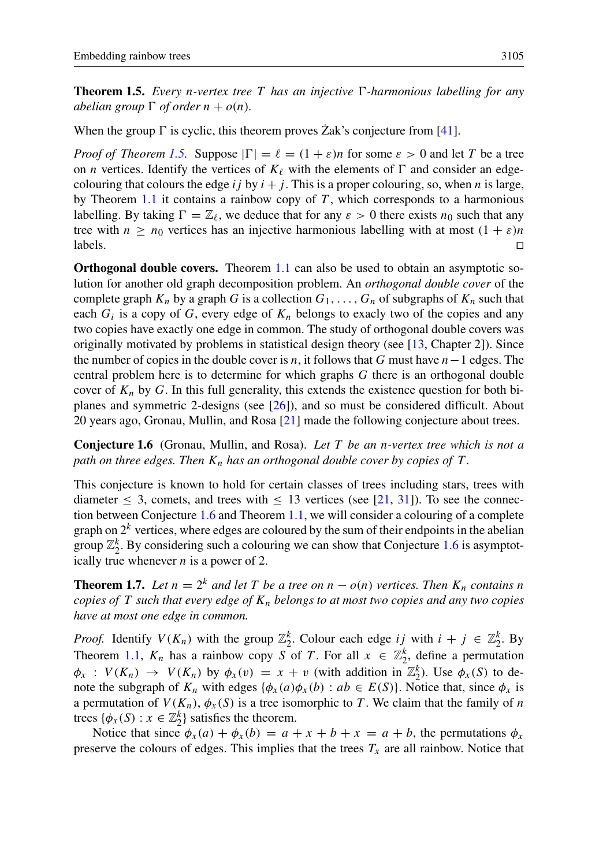**Theorem 1.5.** *Every n-vertex tree* T has an injective  $\Gamma$ -harmonious labelling for any *abelian group*  $\Gamma$  *of order*  $n + o(n)$ *.* 

When the group  $\Gamma$  is cyclic, this theorem proves  $\operatorname{Zak}$ 's conjecture from [[41\]](#page-31-15).

*Proof of Theorem [1.5.](#page-3-0)* Suppose  $|\Gamma| = \ell = (1 + \varepsilon)n$  for some  $\varepsilon > 0$  and let T be a tree on *n* vertices. Identify the vertices of  $K_\ell$  with the elements of  $\Gamma$  and consider an edgecolouring that colours the edge ij by  $i + j$ . This is a proper colouring, so, when n is large, by Theorem [1.1](#page-1-0) it contains a rainbow copy of  $T$ , which corresponds to a harmonious labelling. By taking  $\Gamma = \mathbb{Z}_\ell$ , we deduce that for any  $\varepsilon > 0$  there exists  $n_0$  such that any tree with  $n \ge n_0$  vertices has an injective harmonious labelling with at most  $(1 + \varepsilon)n$  $\Box$ labels.  $\Box$ 

Orthogonal double covers. Theorem [1.1](#page-1-0) can also be used to obtain an asymptotic solution for another old graph decomposition problem. An *orthogonal double cover* of the complete graph  $K_n$  by a graph G is a collection  $G_1, \ldots, G_n$  of subgraphs of  $K_n$  such that each  $G_i$  is a copy of G, every edge of  $K_n$  belongs to exacly two of the copies and any two copies have exactly one edge in common. The study of orthogonal double covers was originally motivated by problems in statistical design theory (see [\[13,](#page-30-16) Chapter 2]). Since the number of copies in the double cover is n, it follows that G must have  $n-1$  edges. The central problem here is to determine for which graphs  $G$  there is an orthogonal double cover of  $K_n$  by G. In this full generality, this extends the existence question for both biplanes and symmetric 2-designs (see [\[26\]](#page-31-16)), and so must be considered difficult. About 20 years ago, Gronau, Mullin, and Rosa [\[21\]](#page-31-17) made the following conjecture about trees.

<span id="page-4-0"></span>Conjecture 1.6 (Gronau, Mullin, and Rosa). *Let* T *be an* n*-vertex tree which is not a path on three edges. Then*  $K_n$  *has an orthogonal double cover by copies of*  $T$ *.* 

This conjecture is known to hold for certain classes of trees including stars, trees with diameter  $\leq$  3, comets, and trees with  $\leq$  13 vertices (see [\[21,](#page-31-17) [31\]](#page-31-18)). To see the connection between Conjecture [1.6](#page-4-0) and Theorem [1.1,](#page-1-0) we will consider a colouring of a complete graph on  $2^k$  vertices, where edges are coloured by the sum of their endpoints in the abelian group  $\mathbb{Z}_2^k$ . By considering such a colouring we can show that Conjecture [1.6](#page-4-0) is asymptotically true whenever  $n$  is a power of 2.

**Theorem 1.7.** Let  $n = 2^k$  and let T be a tree on  $n - o(n)$  vertices. Then  $K_n$  contains n *copies of* T *such that every edge of*  $K_n$  *belongs to at most two copies and any two copies have at most one edge in common.*

*Proof.* Identify  $V(K_n)$  with the group  $\mathbb{Z}_2^k$ . Colour each edge ij with  $i + j \in \mathbb{Z}_2^k$ . By Theorem [1.1,](#page-1-0)  $K_n$  has a rainbow copy S of T. For all  $x \in \mathbb{Z}_2^k$ , define a permutation  $\phi_x$ :  $V(K_n) \to V(K_n)$  by  $\phi_x(v) = x + v$  (with addition in  $\mathbb{Z}_2^k$ ). Use  $\phi_x(S)$  to denote the subgraph of  $K_n$  with edges  $\{\phi_x(a)\phi_x(b) : ab \in E(S)\}\)$ . Notice that, since  $\phi_x$  is a permutation of  $V(K_n)$ ,  $\phi_x(S)$  is a tree isomorphic to T. We claim that the family of n trees  $\{\phi_x(S) : x \in \mathbb{Z}_2^k\}$  satisfies the theorem.

Notice that since  $\phi_x(a) + \phi_x(b) = a + x + b + x = a + b$ , the permutations  $\phi_x$ preserve the colours of edges. This implies that the trees  $T_x$  are all rainbow. Notice that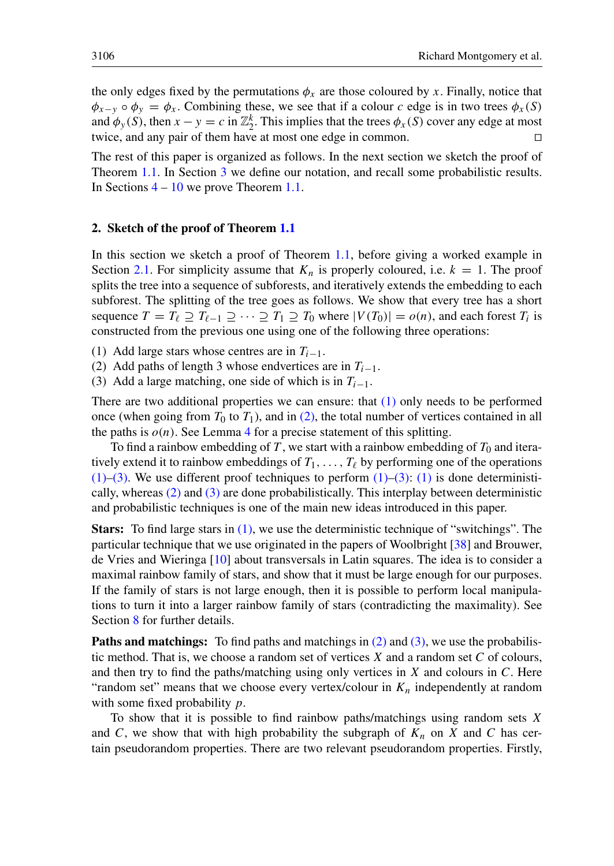the only edges fixed by the permutations  $\phi_x$  are those coloured by x. Finally, notice that  $\phi_{x-y} \circ \phi_y = \phi_x$ . Combining these, we see that if a colour c edge is in two trees  $\phi_x(S)$ and  $\phi_y(S)$ , then  $x - y = c$  in  $\mathbb{Z}_2^k$ . This implies that the trees  $\phi_x(S)$  cover any edge at most twice, and any pair of them have at most one edge in common.  $\Box$ 

The rest of this paper is organized as follows. In the next section we sketch the proof of Theorem [1.1.](#page-1-0) In Section [3](#page-8-0) we define our notation, and recall some probabilistic results. In Sections [4](#page-10-0) – [10](#page-23-0) we prove Theorem [1.1.](#page-1-0)

#### <span id="page-5-0"></span>2. Sketch of the proof of Theorem [1.1](#page-1-0)

In this section we sketch a proof of Theorem [1.1,](#page-1-0) before giving a worked example in Section [2.1.](#page-6-0) For simplicity assume that  $K_n$  is properly coloured, i.e.  $k = 1$ . The proof splits the tree into a sequence of subforests, and iteratively extends the embedding to each subforest. The splitting of the tree goes as follows. We show that every tree has a short sequence  $T = T_\ell \supseteq T_{\ell-1} \supseteq \cdots \supseteq T_1 \supseteq T_0$  where  $|V(T_0)| = o(n)$ , and each forest  $T_i$  is constructed from the previous one using one of the following three operations:

- <span id="page-5-1"></span>(1) Add large stars whose centres are in  $T_{i-1}$ .
- <span id="page-5-2"></span>(2) Add paths of length 3 whose endvertices are in  $T_{i-1}$ .
- <span id="page-5-3"></span>(3) Add a large matching, one side of which is in  $T_{i-1}$ .

There are two additional properties we can ensure: that [\(1\)](#page-5-1) only needs to be performed once (when going from  $T_0$  to  $T_1$ ), and in [\(2\),](#page-5-2) the total number of vertices contained in all the paths is  $o(n)$ . See Lemma [4](#page-10-0) for a precise statement of this splitting.

To find a rainbow embedding of T, we start with a rainbow embedding of  $T_0$  and iteratively extend it to rainbow embeddings of  $T_1, \ldots, T_\ell$  by performing one of the operations  $(1)$ –[\(3\).](#page-5-3) We use different proof techniques to perform  $(1)$ –[\(3\):](#page-5-3) (1) is done deterministically, whereas [\(2\)](#page-5-2) and [\(3\)](#page-5-3) are done probabilistically. This interplay between deterministic and probabilistic techniques is one of the main new ideas introduced in this paper.

Stars: To find large stars in [\(1\),](#page-5-1) we use the deterministic technique of "switchings". The particular technique that we use originated in the papers of Woolbright [\[38\]](#page-31-19) and Brouwer, de Vries and Wieringa [\[10\]](#page-30-17) about transversals in Latin squares. The idea is to consider a maximal rainbow family of stars, and show that it must be large enough for our purposes. If the family of stars is not large enough, then it is possible to perform local manipulations to turn it into a larger rainbow family of stars (contradicting the maximality). See Section [8](#page-20-0) for further details.

Paths and matchings: To find paths and matchings in [\(2\)](#page-5-2) and [\(3\),](#page-5-3) we use the probabilistic method. That is, we choose a random set of vertices  $X$  and a random set  $C$  of colours, and then try to find the paths/matching using only vertices in  $X$  and colours in  $C$ . Here "random set" means that we choose every vertex/colour in  $K_n$  independently at random with some fixed probability  $p$ .

To show that it is possible to find rainbow paths/matchings using random sets  $X$ and C, we show that with high probability the subgraph of  $K_n$  on X and C has certain pseudorandom properties. There are two relevant pseudorandom properties. Firstly,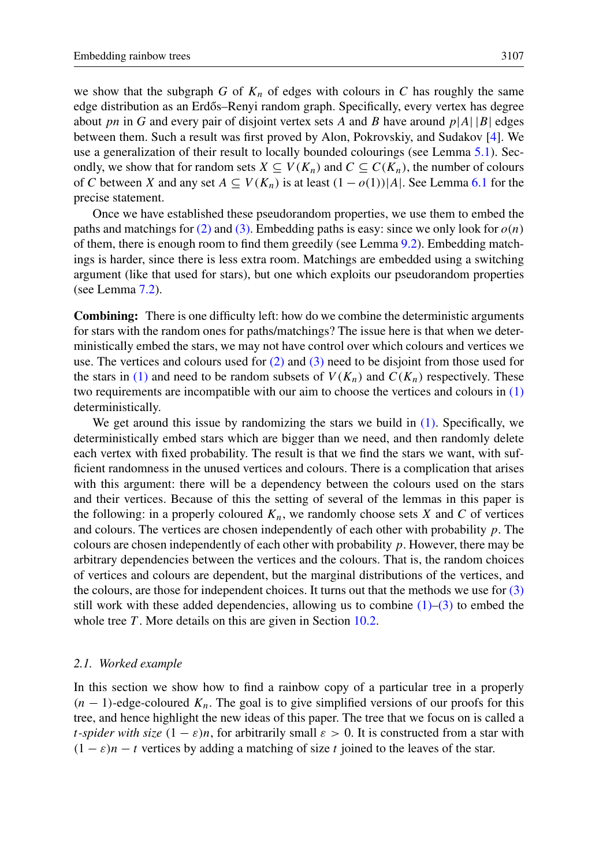we show that the subgraph G of  $K_n$  of edges with colours in C has roughly the same edge distribution as an Erdős–Renyi random graph. Specifically, every vertex has degree about pn in G and every pair of disjoint vertex sets A and B have around  $p|A||B|$  edges between them. Such a result was first proved by Alon, Pokrovskiy, and Sudakov [\[4\]](#page-30-7). We use a generalization of their result to locally bounded colourings (see Lemma [5.1\)](#page-12-0). Secondly, we show that for random sets  $X \subseteq V(K_n)$  and  $C \subseteq C(K_n)$ , the number of colours of C between X and any set  $A \subseteq V(K_n)$  is at least  $(1 - o(1))|A|$ . See Lemma [6.1](#page-14-0) for the precise statement.

Once we have established these pseudorandom properties, we use them to embed the paths and matchings for [\(2\)](#page-5-2) and [\(3\).](#page-5-3) Embedding paths is easy: since we only look for  $o(n)$ of them, there is enough room to find them greedily (see Lemma [9.2\)](#page-22-0). Embedding matchings is harder, since there is less extra room. Matchings are embedded using a switching argument (like that used for stars), but one which exploits our pseudorandom properties (see Lemma [7.2\)](#page-18-0).

Combining: There is one difficulty left: how do we combine the deterministic arguments for stars with the random ones for paths/matchings? The issue here is that when we deterministically embed the stars, we may not have control over which colours and vertices we use. The vertices and colours used for  $(2)$  and  $(3)$  need to be disjoint from those used for the stars in [\(1\)](#page-5-1) and need to be random subsets of  $V(K_n)$  and  $C(K_n)$  respectively. These two requirements are incompatible with our aim to choose the vertices and colours in [\(1\)](#page-5-1) deterministically.

We get around this issue by randomizing the stars we build in [\(1\).](#page-5-1) Specifically, we deterministically embed stars which are bigger than we need, and then randomly delete each vertex with fixed probability. The result is that we find the stars we want, with sufficient randomness in the unused vertices and colours. There is a complication that arises with this argument: there will be a dependency between the colours used on the stars and their vertices. Because of this the setting of several of the lemmas in this paper is the following: in a properly coloured  $K_n$ , we randomly choose sets X and C of vertices and colours. The vertices are chosen independently of each other with probability  $p$ . The colours are chosen independently of each other with probability  $p$ . However, there may be arbitrary dependencies between the vertices and the colours. That is, the random choices of vertices and colours are dependent, but the marginal distributions of the vertices, and the colours, are those for independent choices. It turns out that the methods we use for  $(3)$ still work with these added dependencies, allowing us to combine  $(1)$ – $(3)$  to embed the whole tree  $T$ . More details on this are given in Section [10.2.](#page-25-0)

#### <span id="page-6-0"></span>*2.1. Worked example*

In this section we show how to find a rainbow copy of a particular tree in a properly  $(n - 1)$ -edge-coloured  $K_n$ . The goal is to give simplified versions of our proofs for this tree, and hence highlight the new ideas of this paper. The tree that we focus on is called a *t*-spider with size  $(1 - \varepsilon)n$ , for arbitrarily small  $\varepsilon > 0$ . It is constructed from a star with  $(1 - \varepsilon)n - t$  vertices by adding a matching of size t joined to the leaves of the star.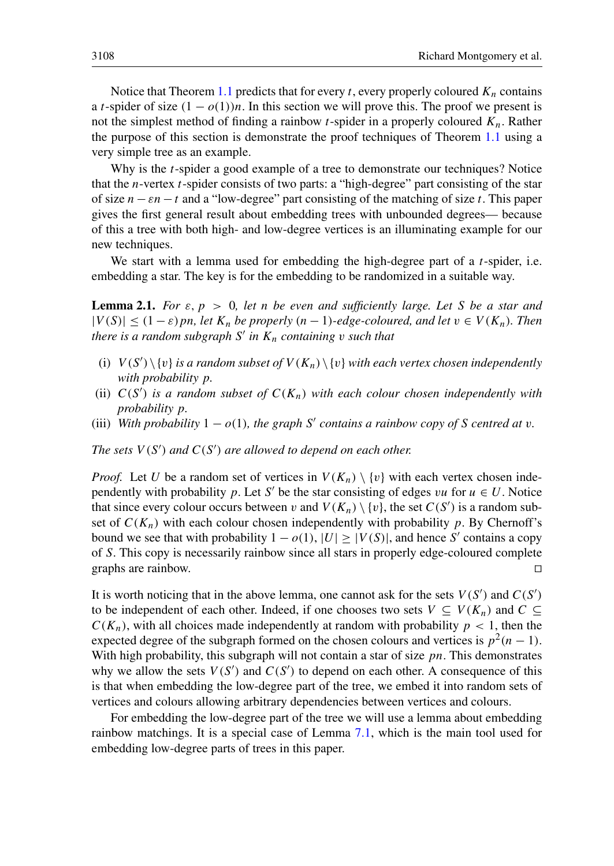Notice that Theorem [1.1](#page-1-0) predicts that for every t, every properly coloured  $K_n$  contains a t-spider of size  $(1 - o(1))n$ . In this section we will prove this. The proof we present is not the simplest method of finding a rainbow t-spider in a properly coloured  $K_n$ . Rather the purpose of this section is demonstrate the proof techniques of Theorem [1.1](#page-1-0) using a very simple tree as an example.

Why is the  $t$ -spider a good example of a tree to demonstrate our techniques? Notice that the *n*-vertex *t*-spider consists of two parts: a "high-degree" part consisting of the star of size  $n-\varepsilon n-t$  and a "low-degree" part consisting of the matching of size t. This paper gives the first general result about embedding trees with unbounded degrees— because of this a tree with both high- and low-degree vertices is an illuminating example for our new techniques.

<span id="page-7-0"></span>We start with a lemma used for embedding the high-degree part of a  $t$ -spider, i.e. embedding a star. The key is for the embedding to be randomized in a suitable way.

**Lemma 2.1.** *For*  $\varepsilon$ ,  $p > 0$ , let *n* be even and sufficiently large. Let S be a star and  $|V(S)| \leq (1 - \varepsilon)$  pn, let  $K_n$  be properly  $(n - 1)$ -edge-coloured, and let  $v \in V(K_n)$ . Then *there is a random subgraph* S 0 *in* K<sup>n</sup> *containing* v *such that*

- (i)  $V(S') \setminus \{v\}$  *is a random subset of*  $V(K_n) \setminus \{v\}$  *with each vertex chosen independently with probability* p*.*
- (ii)  $C(S^{\prime})$  is a random subset of  $C(K_n)$  with each colour chosen independently with *probability* p*.*
- (iii) With probability  $1 o(1)$ , the graph S' contains a rainbow copy of S centred at v.

The sets  $V(S')$  and  $C(S')$  are allowed to depend on each other.

*Proof.* Let U be a random set of vertices in  $V(K_n) \setminus \{v\}$  with each vertex chosen independently with probability p. Let S' be the star consisting of edges vu for  $u \in U$ . Notice that since every colour occurs between v and  $V(K_n) \setminus \{v\}$ , the set  $C(S')$  is a random subset of  $C(K_n)$  with each colour chosen independently with probability p. By Chernoff's bound we see that with probability  $1 - o(1)$ ,  $|U| \ge |V(S)|$ , and hence S' contains a copy of S. This copy is necessarily rainbow since all stars in properly edge-coloured complete graphs are rainbow.

It is worth noticing that in the above lemma, one cannot ask for the sets  $V(S')$  and  $C(S')$ to be independent of each other. Indeed, if one chooses two sets  $V \subseteq V(K_n)$  and  $C \subseteq$  $C(K_n)$ , with all choices made independently at random with probability  $p < 1$ , then the expected degree of the subgraph formed on the chosen colours and vertices is  $p^2(n-1)$ . With high probability, this subgraph will not contain a star of size  $pn$ . This demonstrates why we allow the sets  $V(S')$  and  $C(S')$  to depend on each other. A consequence of this is that when embedding the low-degree part of the tree, we embed it into random sets of vertices and colours allowing arbitrary dependencies between vertices and colours.

<span id="page-7-1"></span>For embedding the low-degree part of the tree we will use a lemma about embedding rainbow matchings. It is a special case of Lemma [7.1,](#page-18-1) which is the main tool used for embedding low-degree parts of trees in this paper.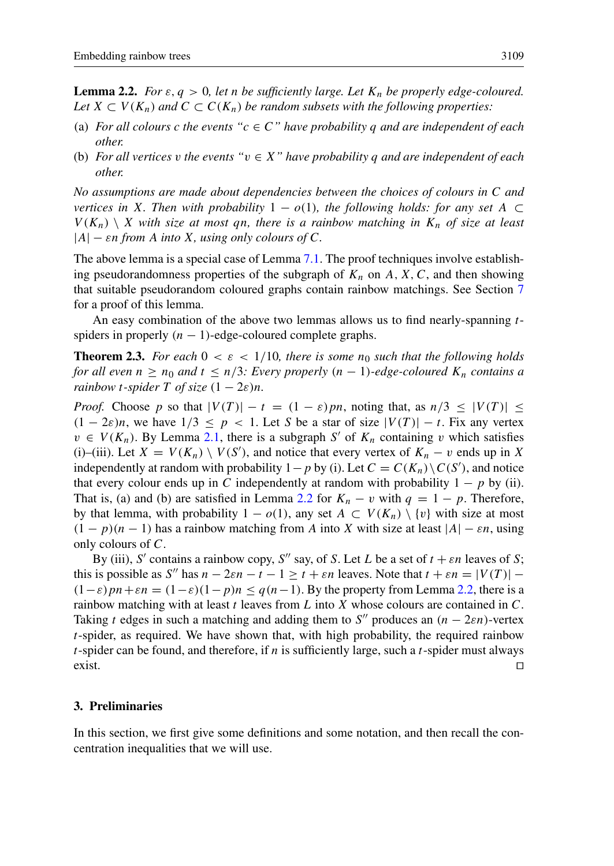**Lemma 2.2.** *For*  $\varepsilon$ ,  $q > 0$ , let *n* be sufficiently large. Let  $K_n$  be properly edge-coloured. *Let*  $X \subset V(K_n)$  *and*  $C \subset C(K_n)$  *be random subsets with the following properties:* 

- (a) *For all colours c the events* " $c \in C$ " *have probability q and are independent of each other.*
- (b) *For all vertices* v *the events "*v ∈ X*" have probability* q *and are independent of each other.*

*No assumptions are made about dependencies between the choices of colours in* C *and vertices in* X*. Then with probability*  $1 - o(1)$ *, the following holds: for any set* A ⊂  $V(K_n) \setminus X$  with size at most qn, there is a rainbow matching in  $K_n$  of size at least  $|A|$  –  $\varepsilon$ *n from* A *into* X, using only colours of C.

The above lemma is a special case of Lemma [7.1.](#page-18-1) The proof techniques involve establishing pseudorandomness properties of the subgraph of  $K_n$  on A, X, C, and then showing that suitable pseudorandom coloured graphs contain rainbow matchings. See Section [7](#page-17-0) for a proof of this lemma.

An easy combination of the above two lemmas allows us to find nearly-spanning tspiders in properly  $(n - 1)$ -edge-coloured complete graphs.

**Theorem 2.3.** For each  $0 \lt \varepsilon \lt 1/10$ , there is some  $n_0$  such that the following holds *for all even*  $n \ge n_0$  *and*  $t \le n/3$ *: Every properly*  $(n - 1)$ *-edge-coloured*  $K_n$  *contains a rainbow t-spider*  $T$  *of size*  $(1 - 2\varepsilon)n$ .

*Proof.* Choose p so that  $|V(T)| - t = (1 - \varepsilon)pn$ , noting that, as  $n/3 \leq |V(T)| \leq$  $(1 - 2\varepsilon)n$ , we have  $1/3 \leq p < 1$ . Let S be a star of size  $|V(T)| - t$ . Fix any vertex  $v \in V(K_n)$ . By Lemma [2.1,](#page-7-0) there is a subgraph S' of  $K_n$  containing v which satisfies (i)–(iii). Let  $X = V(K_n) \setminus V(S')$ , and notice that every vertex of  $K_n - v$  ends up in X independently at random with probability  $1-p$  by (i). Let  $C = C(K_n) \setminus C(S')$ , and notice that every colour ends up in C independently at random with probability  $1 - p$  by (ii). That is, (a) and (b) are satisfied in Lemma [2.2](#page-7-1) for  $K_n - v$  with  $q = 1 - p$ . Therefore, by that lemma, with probability  $1 - o(1)$ , any set  $A \subset V(K_n) \setminus \{v\}$  with size at most  $(1 - p)(n - 1)$  has a rainbow matching from A into X with size at least  $|A| - \varepsilon n$ , using only colours of C.

By (iii), S' contains a rainbow copy, S'' say, of S. Let L be a set of  $t + \varepsilon n$  leaves of S; this is possible as S'' has  $n - 2\varepsilon n - t - 1 \ge t + \varepsilon n$  leaves. Note that  $t + \varepsilon n = |V(T)| (1-\varepsilon)pn+\varepsilon n = (1-\varepsilon)(1-p)n \leq q(n-1)$ . By the property from Lemma [2.2,](#page-7-1) there is a rainbow matching with at least  $t$  leaves from  $L$  into  $X$  whose colours are contained in  $C$ . Taking t edges in such a matching and adding them to S'' produces an  $(n - 2\varepsilon n)$ -vertex  $t$ -spider, as required. We have shown that, with high probability, the required rainbow t-spider can be found, and therefore, if n is sufficiently large, such a t-spider must always  $\Box$ exist.

## <span id="page-8-0"></span>3. Preliminaries

In this section, we first give some definitions and some notation, and then recall the concentration inequalities that we will use.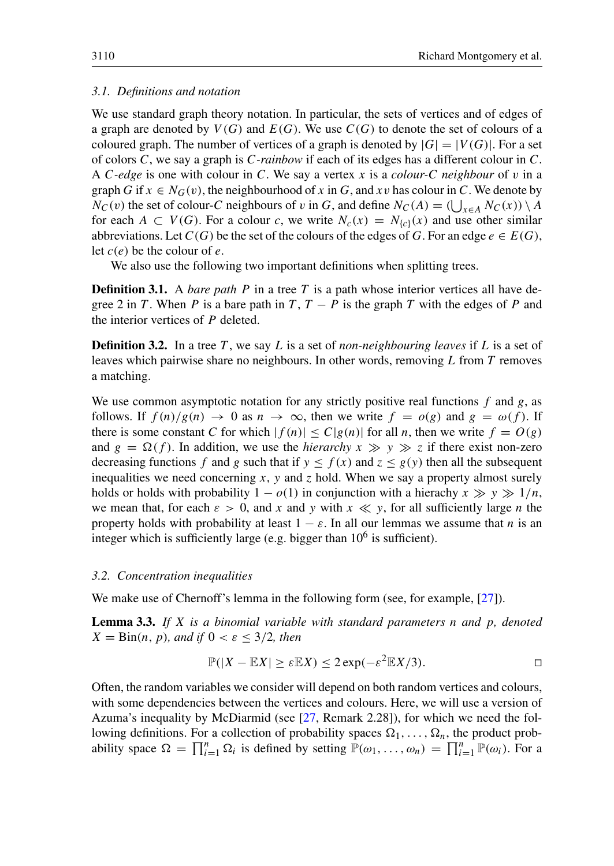## *3.1. Definitions and notation*

We use standard graph theory notation. In particular, the sets of vertices and of edges of a graph are denoted by  $V(G)$  and  $E(G)$ . We use  $C(G)$  to denote the set of colours of a coloured graph. The number of vertices of a graph is denoted by  $|G| = |V(G)|$ . For a set of colors C, we say a graph is C*-rainbow* if each of its edges has a different colour in C. A C*-edge* is one with colour in C. We say a vertex x is a *colour-*C *neighbour* of v in a graph G if  $x \in N_G(v)$ , the neighbourhood of x in G, and xv has colour in C. We denote by  $N_C(v)$  the set of colour-C neighbours of v in G, and define  $N_C(A) = (\bigcup_{x \in A} N_C(x)) \setminus A$ for each  $A \subset V(G)$ . For a colour c, we write  $N_c(x) = N_{c}(\alpha)$  and use other similar abbreviations. Let  $C(G)$  be the set of the colours of the edges of G. For an edge  $e \in E(G)$ , let  $c(e)$  be the colour of e.

We also use the following two important definitions when splitting trees.

**Definition 3.1.** A *bare path* P in a tree T is a path whose interior vertices all have degree 2 in T. When P is a bare path in T,  $T - P$  is the graph T with the edges of P and the interior vertices of P deleted.

**Definition 3.2.** In a tree T, we say L is a set of *non-neighbouring leaves* if L is a set of leaves which pairwise share no neighbours. In other words, removing  $L$  from  $T$  removes a matching.

We use common asymptotic notation for any strictly positive real functions  $f$  and  $g$ , as follows. If  $f(n)/g(n) \to 0$  as  $n \to \infty$ , then we write  $f = o(g)$  and  $g = \omega(f)$ . If there is some constant C for which  $|f(n)| \leq C |g(n)|$  for all n, then we write  $f = O(g)$ and  $g = \Omega(f)$ . In addition, we use the *hierarchy*  $x \gg y \gg z$  if there exist non-zero decreasing functions f and g such that if  $y \leq f(x)$  and  $z \leq g(y)$  then all the subsequent inequalities we need concerning x, y and z hold. When we say a property almost surely holds or holds with probability  $1 - o(1)$  in conjunction with a hierachy  $x \gg y \gg 1/n$ , we mean that, for each  $\varepsilon > 0$ , and x and y with  $x \ll y$ , for all sufficiently large n the property holds with probability at least  $1 - \varepsilon$ . In all our lemmas we assume that *n* is an integer which is sufficiently large (e.g. bigger than  $10^6$  is sufficient).

#### *3.2. Concentration inequalities*

We make use of Chernoff's lemma in the following form (see, for example, [\[27\]](#page-31-20)).

Lemma 3.3. *If* X *is a binomial variable with standard parameters* n *and* p*, denoted*  $X = \text{Bin}(n, p)$ *, and if*  $0 < \varepsilon \leq 3/2$ *, then* 

<span id="page-9-0"></span>
$$
\mathbb{P}(|X - \mathbb{E}X| \ge \varepsilon \mathbb{E}X) \le 2\exp(-\varepsilon^2 \mathbb{E}X/3).
$$

Often, the random variables we consider will depend on both random vertices and colours, with some dependencies between the vertices and colours. Here, we will use a version of Azuma's inequality by McDiarmid (see [\[27,](#page-31-20) Remark 2.28]), for which we need the following definitions. For a collection of probability spaces  $\Omega_1, \ldots, \Omega_n$ , the product probability space  $\Omega = \prod_{i=1}^n \Omega_i$  is defined by setting  $\mathbb{P}(\omega_1, \dots, \omega_n) = \prod_{i=1}^n \mathbb{P}(\omega_i)$ . For a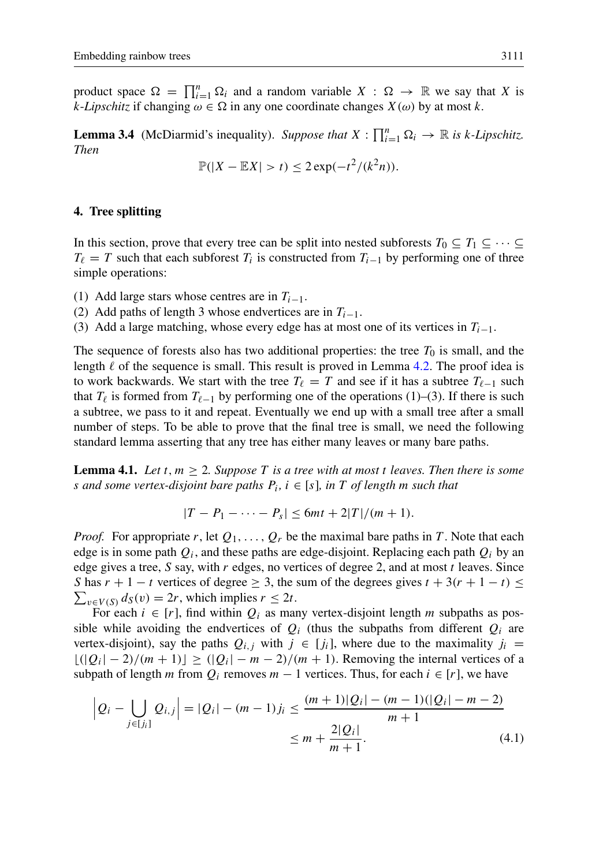product space  $\Omega = \prod_{i=1}^n \Omega_i$  and a random variable  $X : \Omega \to \mathbb{R}$  we say that X is k-*Lipschitz* if changing  $\omega \in \Omega$  in any one coordinate changes  $X(\omega)$  by at most k.

<span id="page-10-3"></span>**Lemma 3.4** (McDiarmid's inequality). Suppose that  $X : \prod_{i=1}^{n} \Omega_i \to \mathbb{R}$  is k-Lipschitz. *Then*

$$
\mathbb{P}(|X - \mathbb{E}X| > t) \leq 2\exp(-t^2/(k^2n)).
$$

#### <span id="page-10-0"></span>4. Tree splitting

In this section, prove that every tree can be split into nested subforests  $T_0 \subseteq T_1 \subseteq \cdots \subseteq$  $T_\ell = T$  such that each subforest  $T_i$  is constructed from  $T_{i-1}$  by performing one of three simple operations:

(1) Add large stars whose centres are in  $T<sub>i-1</sub>$ .

(2) Add paths of length 3 whose endvertices are in  $T_{i-1}$ .

(3) Add a large matching, whose every edge has at most one of its vertices in  $T_{i-1}$ .

The sequence of forests also has two additional properties: the tree  $T_0$  is small, and the length  $\ell$  of the sequence is small. This result is proved in Lemma [4.2.](#page-11-0) The proof idea is to work backwards. We start with the tree  $T_\ell = T$  and see if it has a subtree  $T_{\ell-1}$  such that  $T_\ell$  is formed from  $T_{\ell-1}$  by performing one of the operations (1)–(3). If there is such a subtree, we pass to it and repeat. Eventually we end up with a small tree after a small number of steps. To be able to prove that the final tree is small, we need the following standard lemma asserting that any tree has either many leaves or many bare paths.

<span id="page-10-2"></span>**Lemma 4.1.** Let  $t, m \geq 2$ . Suppose T is a tree with at most t leaves. Then there is some s *and some vertex-disjoint bare paths* P<sup>i</sup> *,* i ∈ [s]*, in* T *of length* m *such that*

<span id="page-10-1"></span>
$$
|T - P_1 - \cdots - P_s| \leq 6mt + 2|T|/(m+1).
$$

*Proof.* For appropriate r, let  $Q_1, \ldots, Q_r$  be the maximal bare paths in T. Note that each edge is in some path  $Q_i$ , and these paths are edge-disjoint. Replacing each path  $Q_i$  by an edge gives a tree, S say, with  $r$  edges, no vertices of degree 2, and at most  $t$  leaves. Since S has  $r + 1 - t$  vertices of degree  $\geq 3$ , the sum of the degrees gives  $t + 3(r + 1 - t) \leq$  $\sum_{v \in V(S)} d_S(v) = 2r$ , which implies  $r \le 2t$ .

For each  $i \in [r]$ , find within  $Q_i$  as many vertex-disjoint length m subpaths as possible while avoiding the endvertices of  $Q_i$  (thus the subpaths from different  $Q_i$  are vertex-disjoint), say the paths  $Q_{i,j}$  with  $j \in [j_i]$ , where due to the maximality  $j_i =$  $\lfloor (|Q_i| - 2)/(m + 1) \rfloor \geq (|Q_i| - m - 2)/(m + 1)$ . Removing the internal vertices of a subpath of length m from  $Q_i$  removes  $m - 1$  vertices. Thus, for each  $i \in [r]$ , we have

$$
\left| Q_i - \bigcup_{j \in [j_i]} Q_{i,j} \right| = |Q_i| - (m-1)j_i \le \frac{(m+1)|Q_i| - (m-1)(|Q_i| - m - 2)}{m+1}
$$
  

$$
\le m + \frac{2|Q_i|}{m+1}.
$$
 (4.1)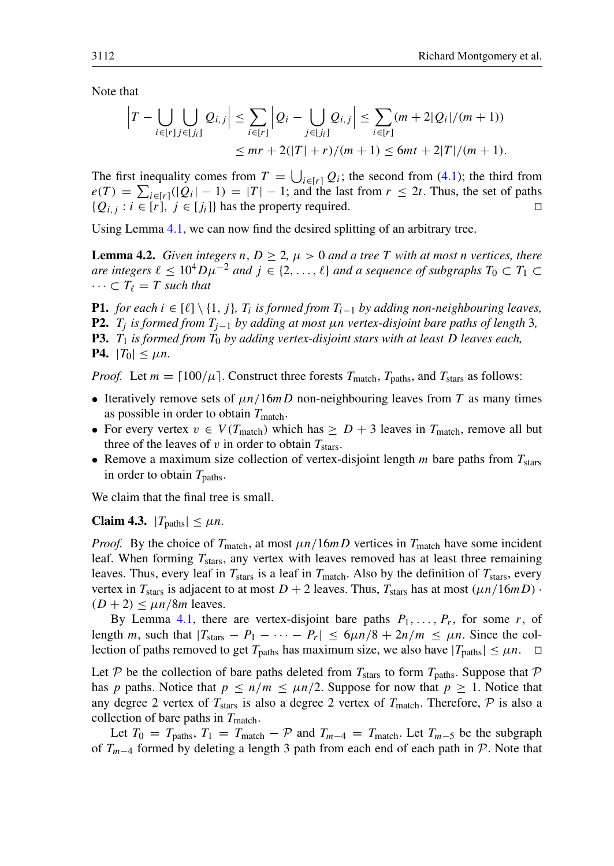Note that

$$
\left|T - \bigcup_{i \in [r]} \bigcup_{j \in [j_i]} Q_{i,j}\right| \leq \sum_{i \in [r]} \left|Q_i - \bigcup_{j \in [j_i]} Q_{i,j}\right| \leq \sum_{i \in [r]} (m+2|Q_i|/(m+1))
$$
  

$$
\leq mr + 2(|T|+r)/(m+1) \leq 6mt + 2|T|/(m+1).
$$

The first inequality comes from  $T = \bigcup_{i \in [r]} Q_i$ ; the second from [\(4.1\)](#page-10-1); the third from  $e(T) = \sum_{i \in [r]} (|Q_i| - 1) = |T| - 1$ ; and the last from  $r \le 2t$ . Thus, the set of paths  $\{Q_{i,j} : i \in [r], j \in [j_i]\}$  has the property required.

<span id="page-11-0"></span>Using Lemma [4.1,](#page-10-2) we can now find the desired splitting of an arbitrary tree.

**Lemma 4.2.** *Given integers n, D > 2,*  $\mu$  *> 0 and a tree T with at most n vertices, there are integers*  $\ell \leq 10^4 D\mu^{-2}$  *and*  $j \in \{2, ..., \ell\}$  *and a sequence of subgraphs*  $T_0 \subset T_1 \subset$  $\cdots \subset T_{\ell} = T$  *such that* 

<span id="page-11-3"></span><span id="page-11-2"></span><span id="page-11-1"></span>**P1.** *for each*  $i \in [\ell] \setminus \{1, j\}$ ,  $T_i$  is formed from  $T_{i-1}$  by adding non-neighbouring leaves, P2. T<sub>i</sub> is formed from  $T_{i-1}$  by adding at most µn vertex-disjoint bare paths of length 3*,* **P3.**  $T_1$  *is formed from*  $T_0$  *by adding vertex-disjoint stars with at least D leaves each,* **P4.**  $|T_0| \leq \mu n$ .

<span id="page-11-4"></span>*Proof.* Let  $m = \lfloor 100/\mu \rfloor$ . Construct three forests  $T_{match}$ ,  $T_{paths}$ , and  $T_{stars}$  as follows:

- Iteratively remove sets of  $\mu n/16mD$  non-neighbouring leaves from T as many times as possible in order to obtain  $T_{\text{match}}$ .
- For every vertex  $v \in V(T_{match})$  which has  $\ge D + 3$  leaves in  $T_{match}$ , remove all but three of the leaves of v in order to obtain  $T_{\text{stars}}$ .
- Remove a maximum size collection of vertex-disjoint length  $m$  bare paths from  $T_{\text{stars}}$ in order to obtain  $T_{\text{paths}}$ .

<span id="page-11-5"></span>We claim that the final tree is small.

Claim 4.3.  $|T_{\text{paths}}| \leq \mu n$ .

*Proof.* By the choice of  $T_{\text{match}}$ , at most  $\mu n/16mD$  vertices in  $T_{\text{match}}$  have some incident leaf. When forming  $T_{\text{stars}}$ , any vertex with leaves removed has at least three remaining leaves. Thus, every leaf in  $T_{\text{stars}}$  is a leaf in  $T_{\text{match}}$ . Also by the definition of  $T_{\text{stars}}$ , every vertex in  $T_{\text{stars}}$  is adjacent to at most  $D + 2$  leaves. Thus,  $T_{\text{stars}}$  has at most  $(\mu n/16mD)$ .  $(D+2) \leq \mu n/8m$  leaves.

By Lemma [4.1,](#page-10-2) there are vertex-disjoint bare paths  $P_1, \ldots, P_r$ , for some r, of length m, such that  $|T_{\text{stars}} - P_1 - \cdots - P_r| \leq 6\mu n/8 + 2n/m \leq \mu n$ . Since the collection of paths removed to get  $T_{\text{paths}}$  has maximum size, we also have  $|T_{\text{paths}}| \leq \mu n$ .  $\Box$ 

Let P be the collection of bare paths deleted from  $T_{\text{stars}}$  to form  $T_{\text{paths}}$ . Suppose that P has p paths. Notice that  $p \le n/m \le \mu n/2$ . Suppose for now that  $p \ge 1$ . Notice that any degree 2 vertex of  $T_{\text{stars}}$  is also a degree 2 vertex of  $T_{\text{match}}$ . Therefore,  $P$  is also a collection of bare paths in  $T_{\text{match}}$ .

Let  $T_0 = T_{\text{paths}}$ ,  $T_1 = T_{\text{match}} - \mathcal{P}$  and  $T_{m-4} = T_{\text{match}}$ . Let  $T_{m-5}$  be the subgraph of  $T_{m-4}$  formed by deleting a length 3 path from each end of each path in P. Note that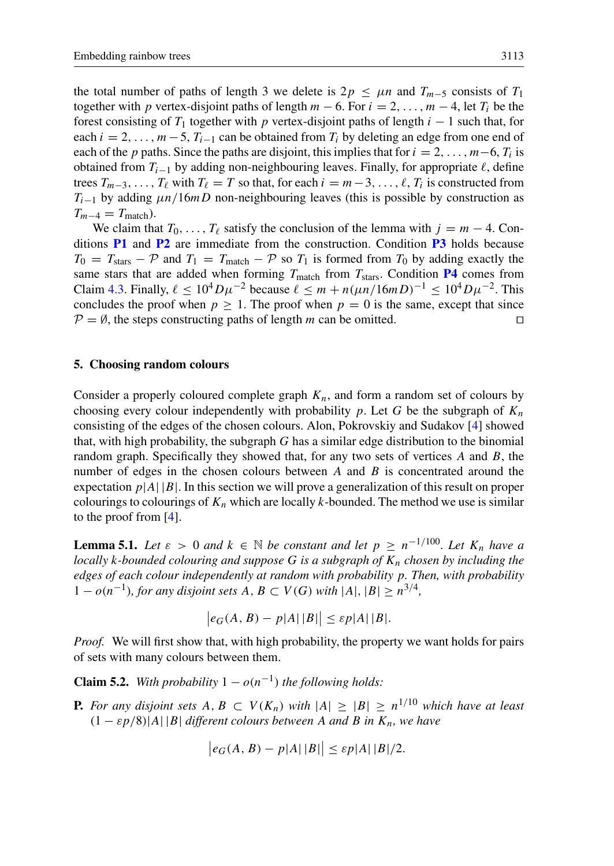the total number of paths of length 3 we delete is  $2p \leq \mu n$  and  $T_{m-5}$  consists of  $T_1$ together with p vertex-disjoint paths of length  $m - 6$ . For  $i = 2, \ldots, m - 4$ , let  $T_i$  be the forest consisting of  $T_1$  together with p vertex-disjoint paths of length  $i - 1$  such that, for each  $i = 2, \ldots, m-5$ ,  $T_{i-1}$  can be obtained from  $T_i$  by deleting an edge from one end of each of the p paths. Since the paths are disjoint, this implies that for  $i = 2, \ldots, m-6, T_i$  is obtained from  $T_{i-1}$  by adding non-neighbouring leaves. Finally, for appropriate  $\ell$ , define trees  $T_{m-3}, \ldots, T_\ell$  with  $T_\ell = T$  so that, for each  $i = m-3, \ldots, \ell, T_i$  is constructed from  $T_{i-1}$  by adding  $\mu n/16mD$  non-neighbouring leaves (this is possible by construction as  $T_{m-4} = T_{\text{match}}$ ).

We claim that  $T_0, \ldots, T_\ell$  satisfy the conclusion of the lemma with  $j = m - 4$ . Conditions  $P1$  and  $P2$  are immediate from the construction. Condition  $P3$  holds because  $T_0 = T_{\text{stars}} - \mathcal{P}$  and  $T_1 = T_{\text{match}} - \mathcal{P}$  so  $T_1$  is formed from  $T_0$  by adding exactly the same stars that are added when forming  $T_{\text{match}}$  from  $T_{\text{stars}}$ . Condition [P4](#page-11-4) comes from Claim [4.3.](#page-11-5) Finally,  $\ell \le 10^4 D \mu^{-2}$  because  $\ell \le m + n(\mu n/16mD)^{-1} \le 10^4 D \mu^{-2}$ . This concludes the proof when  $p > 1$ . The proof when  $p = 0$  is the same, except that since  $P = \emptyset$ , the steps constructing paths of length m can be omitted.  $\Box$ 

## 5. Choosing random colours

Consider a properly coloured complete graph  $K_n$ , and form a random set of colours by choosing every colour independently with probability p. Let G be the subgraph of  $K_n$ consisting of the edges of the chosen colours. Alon, Pokrovskiy and Sudakov [\[4\]](#page-30-7) showed that, with high probability, the subgraph  $G$  has a similar edge distribution to the binomial random graph. Specifically they showed that, for any two sets of vertices  $A$  and  $B$ , the number of edges in the chosen colours between  $A$  and  $B$  is concentrated around the expectation  $p|A||B|$ . In this section we will prove a generalization of this result on proper colourings to colourings of  $K_n$  which are locally k-bounded. The method we use is similar to the proof from [\[4\]](#page-30-7).

<span id="page-12-0"></span>**Lemma 5.1.** Let  $\varepsilon > 0$  and  $k \in \mathbb{N}$  be constant and let  $p \geq n^{-1/100}$ . Let  $K_n$  have a *locally* k-bounded colouring and suppose G is a subgraph of  $K_n$  chosen by including the *edges of each colour independently at random with probability* p*. Then, with probability* 1 −  $o(n^{-1})$ , for any disjoint sets A, B ⊂ V(G) with |A|, |B| ≥  $n^{3/4}$ ,

$$
\big|e_G(A,B)-p|A|\,|B|\big|\leq \varepsilon p|A|\,|B|.
$$

*Proof.* We will first show that, with high probability, the property we want holds for pairs of sets with many colours between them.

**Claim 5.2.** *With probability*  $1 - o(n^{-1})$  *the following holds:* 

<span id="page-12-1"></span>**P.** For any disjoint sets  $A, B \subset V(K_n)$  with  $|A| \geq |B| \geq n^{1/10}$  which have at least  $(1 - \varepsilon p/8)|A||B|$  *different colours between* A *and* B *in*  $K_n$ *, we have* 

$$
\left|e_G(A, B) - p|A|\,|B|\right| \leq \varepsilon p|A|\,|B|/2.
$$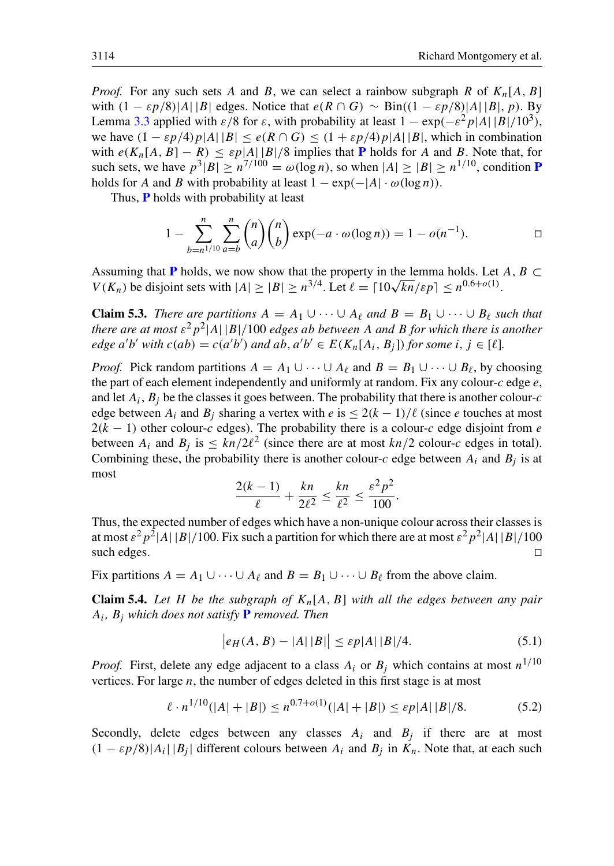*Proof.* For any such sets A and B, we can select a rainbow subgraph R of  $K_n[A, B]$ with  $(1 - \varepsilon p/8)|A||B|$  edges. Notice that  $e(R \cap G) \sim Bin((1 - \varepsilon p/8)|A||B|, p)$ . By Lemma [3.3](#page-9-0) applied with  $\varepsilon/8$  for  $\varepsilon$ , with probability at least  $1 - \exp(-\varepsilon^2 p|A||B|/10^3)$ , we have  $(1 - \varepsilon p/4)p|A||B| < e(R \cap G) < (1 + \varepsilon p/4)p|A||B|$ , which in combination with  $e(K_n[A, B] - R) \leq \varepsilon p|A||B|/8$  implies that [P](#page-12-1) holds for A and B. Note that, for such sets, we have  $p^3|B| \ge n^{7/100} = \omega(\log n)$ , so when  $|A| \ge |B| \ge n^{1/10}$ , condition **[P](#page-12-1)** holds for A and B with probability at least  $1 - \exp(-|A| \cdot \omega(\log n))$ .

Thus, **[P](#page-12-1)** holds with probability at least

$$
1 - \sum_{b=n^{1/10}}^{n} \sum_{a=b}^{n} {n \choose a} {n \choose b} \exp(-a \cdot \omega(\log n)) = 1 - o(n^{-1}).
$$

Assuming that [P](#page-12-1) holds, we now show that the property in the lemma holds. Let  $A, B \subset$ Assuming that **P** holds, we now show that the property in the lemma holds. Let  $V(K_n)$  be disjoint sets with  $|A| \ge |B| \ge n^{3/4}$ . Let  $\ell = \lceil 10\sqrt{kn}/\epsilon p \rceil \le n^{0.6+o(1)}$ .

**Claim 5.3.** *There are partitions*  $A = A_1 \cup \cdots \cup A_\ell$  *and*  $B = B_1 \cup \cdots \cup B_\ell$  *such that there are at most* ε 2p 2 |A| |B|/100 *edges* ab *between* A *and* B *for which there is another edge*  $a'b'$  *with*  $c(ab) = c(a'b')$  *and*  $ab, a'b' \in E(K_n[A_i, B_j])$  *for some*  $i, j \in [\ell]$ *.* 

*Proof.* Pick random partitions  $A = A_1 \cup \cdots \cup A_\ell$  and  $B = B_1 \cup \cdots \cup B_\ell$ , by choosing the part of each element independently and uniformly at random. Fix any colour-c edge  $e$ , and let  $A_i$ ,  $B_j$  be the classes it goes between. The probability that there is another colour-*c* edge between  $A_i$  and  $B_i$  sharing a vertex with e is  $\leq 2(k-1)/\ell$  (since e touches at most  $2(k - 1)$  other colour-c edges). The probability there is a colour-c edge disjoint from e between  $A_i$  and  $B_j$  is  $\leq kn/2\ell^2$  (since there are at most  $kn/2$  colour-c edges in total). Combining these, the probability there is another colour-c edge between  $A_i$  and  $B_j$  is at most

$$
\frac{2(k-1)}{\ell} + \frac{kn}{2\ell^2} \le \frac{kn}{\ell^2} \le \frac{\varepsilon^2 p^2}{100}.
$$

Thus, the expected number of edges which have a non-unique colour across their classes is at most  $\varepsilon^2 p^2|A||B|/100.$  Fix such a partition for which there are at most  $\varepsilon^2 p^2|A||B|/100$ such edges.  $\Box$ 

Fix partitions  $A = A_1 \cup \cdots \cup A_\ell$  and  $B = B_1 \cup \cdots \cup B_\ell$  from the above claim.

**Claim 5.4.** Let H be the subgraph of  $K_n[A, B]$  with all the edges between any pair Ai *,* B<sup>j</sup> *which does not satisfy* [P](#page-12-1) *removed. Then*

<span id="page-13-1"></span><span id="page-13-0"></span>
$$
|e_H(A, B) - |A| |B|| \le \varepsilon p |A| |B| / 4. \tag{5.1}
$$

*Proof.* First, delete any edge adjacent to a class  $A_i$  or  $B_j$  which contains at most  $n^{1/10}$ vertices. For large  $n$ , the number of edges deleted in this first stage is at most

$$
\ell \cdot n^{1/10}(|A| + |B|) \le n^{0.7 + o(1)}(|A| + |B|) \le \varepsilon p|A| |B|/8. \tag{5.2}
$$

Secondly, delete edges between any classes  $A_i$  and  $B_j$  if there are at most  $(1 - \varepsilon p/8)|A_i||B_j|$  different colours between  $A_i$  and  $B_j$  in  $K_n$ . Note that, at each such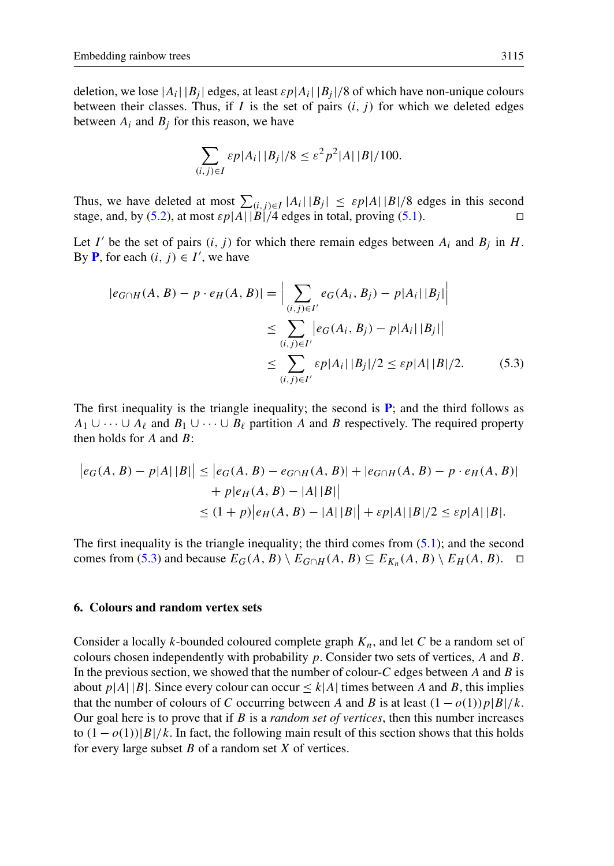deletion, we lose  $|A_i| |B_j|$  edges, at least  $\epsilon p |A_i| |B_j|/8$  of which have non-unique colours between their classes. Thus, if I is the set of pairs  $(i, j)$  for which we deleted edges between  $A_i$  and  $B_i$  for this reason, we have

<span id="page-14-1"></span>
$$
\sum_{(i,j)\in I} \varepsilon p|A_i| |B_j|/8 \leq \varepsilon^2 p^2|A| |B|/100.
$$

Thus, we have deleted at most  $\sum_{(i,j)\in I} |A_i| |B_j| \leq \varepsilon p|A| |B|/8$  edges in this second stage, and, by [\(5.2\)](#page-13-0), at most  $\varepsilon p|A||\tilde{B}|/4$  edges in total, proving [\(5.1\)](#page-13-1).

Let I' be the set of pairs  $(i, j)$  for which there remain edges between  $A_i$  and  $B_j$  in H. By **[P](#page-12-1)**, for each  $(i, j) \in I'$ , we have

$$
|e_{G \cap H}(A, B) - p \cdot e_H(A, B)| = \Big| \sum_{(i,j) \in I'} e_G(A_i, B_j) - p|A_i| |B_j| \Big|
$$
  
\n
$$
\leq \sum_{(i,j) \in I'} |e_G(A_i, B_j) - p|A_i| |B_j| \Big|
$$
  
\n
$$
\leq \sum_{(i,j) \in I'} \varepsilon p|A_i| |B_j|/2 \leq \varepsilon p|A| |B|/2.
$$
 (5.3)

The first inequality is the triangle inequality; the second is  $P$ ; and the third follows as  $A_1 \cup \cdots \cup A_\ell$  and  $B_1 \cup \cdots \cup B_\ell$  partition A and B respectively. The required property then holds for  $A$  and  $B$ :

$$
|e_G(A, B) - p|A||B|| \le |e_G(A, B) - e_{G \cap H}(A, B)| + |e_{G \cap H}(A, B) - p \cdot e_H(A, B)|
$$
  
+  $p|e_H(A, B) - |A||B||$   
 $\le (1+p)|e_H(A, B) - |A||B|| + \varepsilon p|A||B|/2 \le \varepsilon p|A||B|.$ 

The first inequality is the triangle inequality; the third comes from  $(5.1)$ ; and the second comes from [\(5.3\)](#page-14-1) and because  $E_G(A, B) \setminus E_{G \cap H}(A, B) \subseteq E_{K_n}(A, B) \setminus E_H(A, B)$ .  $\Box$ 

## 6. Colours and random vertex sets

<span id="page-14-0"></span>Consider a locally k-bounded coloured complete graph  $K_n$ , and let C be a random set of colours chosen independently with probability  $p$ . Consider two sets of vertices,  $A$  and  $B$ . In the previous section, we showed that the number of colour- $C$  edges between  $A$  and  $B$  is about  $p|A||B|$ . Since every colour can occur  $\leq k|A|$  times between A and B, this implies that the number of colours of C occurring between A and B is at least  $(1 - o(1))p|B|/k$ . Our goal here is to prove that if B is a *random set of vertices*, then this number increases to  $(1 - o(1))|B|/k$ . In fact, the following main result of this section shows that this holds for every large subset  $B$  of a random set  $X$  of vertices.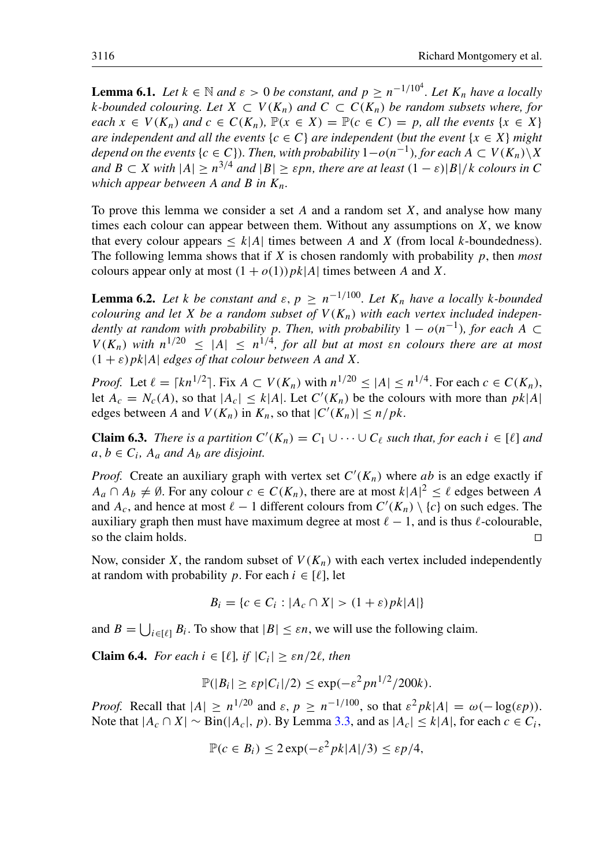**Lemma 6.1.** Let  $k \in \mathbb{N}$  and  $\varepsilon > 0$  be constant, and  $p \ge n^{-1/10^4}$ . Let  $K_n$  have a locally *k*-bounded colouring. Let *X* ⊂  $V(K_n)$  and  $C \subset C(K_n)$  be random subsets where, for *each*  $x \in V(K_n)$  *and*  $c \in C(K_n)$ ,  $\mathbb{P}(x \in X) = \mathbb{P}(c \in C) = p$ , *all the events*  $\{x \in X\}$ *are independent and all the events*  $\{c \in C\}$  *are independent* (*but the event*  $\{x \in X\}$  *might depend on the events {c ∈ C}). Then, with probability*  $1-o(n^{-1})$ *, for each A*  $\subset V(K_n)\backslash X$ *and*  $B \subset X$  *with*  $|A| \ge n^{3/4}$  *and*  $|B| \ge \varepsilon pn$ *, there are at least*  $(1 - \varepsilon)|B|/k$  *colours in* C *which appear between* A *and* B *in*  $K_n$ *.* 

To prove this lemma we consider a set  $A$  and a random set  $X$ , and analyse how many times each colour can appear between them. Without any assumptions on  $X$ , we know that every colour appears  $\leq k|A|$  times between A and X (from local k-boundedness). The following lemma shows that if X is chosen randomly with probability p, then *most* colours appear only at most  $(1 + o(1))p k|A|$  times between A and X.

<span id="page-15-0"></span>**Lemma 6.2.** Let k be constant and  $\varepsilon$ ,  $p \ge n^{-1/100}$ . Let  $K_n$  have a locally k-bounded *colouring and let* X *be a random subset of*  $V(K_n)$  *with each vertex included independently at random with probability p. Then, with probability*  $1 - o(n^{-1})$ , for each A  $\subset$  $V(K_n)$  with  $n^{1/20} \leq |A| \leq n^{1/4}$ , for all but at most  $\varepsilon$ n colours there are at most  $(1 + \varepsilon) p k |A|$  *edges of that colour between* A *and* X.

*Proof.* Let  $\ell = \lceil kn^{1/2} \rceil$ . Fix  $A \subset V(K_n)$  with  $n^{1/20} \le |A| \le n^{1/4}$ . For each  $c \in C(K_n)$ , let  $A_c = N_c(A)$ , so that  $|A_c| \le k|A|$ . Let  $C'(K_n)$  be the colours with more than  $pk|A|$ edges between A and  $V(K_n)$  in  $K_n$ , so that  $|C'(K_n)| \leq n/pk$ .

**Claim 6.3.** *There is a partition*  $C'(K_n) = C_1 \cup \cdots \cup C_\ell$  *such that, for each*  $i \in [\ell]$  *and*  $a, b \in C_i$ ,  $A_a$  and  $A_b$  are disjoint.

*Proof.* Create an auxiliary graph with vertex set  $C'(K_n)$  where ab is an edge exactly if  $A_a \cap A_b \neq \emptyset$ . For any colour  $c \in C(K_n)$ , there are at most  $k|A|^2 \leq \ell$  edges between A and  $A_c$ , and hence at most  $\ell - 1$  different colours from  $C'(K_n) \setminus \{c\}$  on such edges. The auxiliary graph then must have maximum degree at most  $\ell - 1$ , and is thus  $\ell$ -colourable, so the claim holds.  $\Box$ 

Now, consider X, the random subset of  $V(K_n)$  with each vertex included independently at random with probability p. For each  $i \in [\ell]$ , let

$$
B_i = \{c \in C_i : |A_c \cap X| > (1 + \varepsilon)pk|A|\}
$$

and  $B = \bigcup_{i \in [\ell]} B_i$ . To show that  $|B| \leq \varepsilon n$ , we will use the following claim.

**Claim 6.4.** *For each*  $i \in [\ell],$  if  $|C_i| \geq \varepsilon n/2\ell$ , then

$$
\mathbb{P}(|B_i| \geq \varepsilon p|C_i|/2) \leq \exp(-\varepsilon^2 p n^{1/2}/200k).
$$

*Proof.* Recall that  $|A| \ge n^{1/20}$  and  $\varepsilon, p \ge n^{-1/100}$ , so that  $\varepsilon^2 p k |A| = \omega(-\log(\varepsilon p)).$ Note that  $|A_c \cap X| \sim Bin(|A_c|, p)$ . By Lemma [3.3,](#page-9-0) and as  $|A_c| \le k|A|$ , for each  $c \in C_i$ ,

$$
\mathbb{P}(c \in B_i) \le 2 \exp(-\varepsilon^2 pk |A|/3) \le \varepsilon p/4,
$$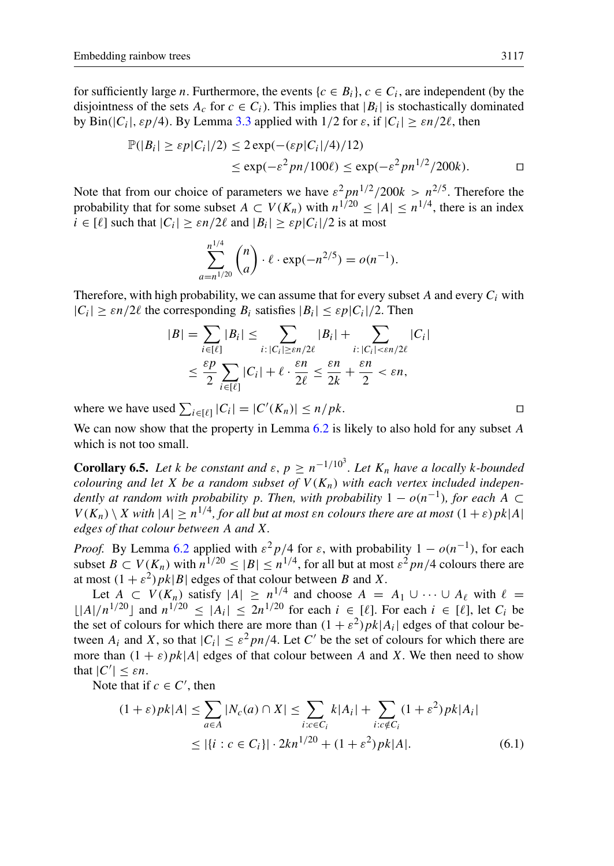for sufficiently large *n*. Furthermore, the events  $\{c \in B_i\}$ ,  $c \in C_i$ , are independent (by the disjointness of the sets  $A_c$  for  $c \in C_i$ ). This implies that  $|B_i|$  is stochastically dominated by Bin(|C<sub>i</sub>|,  $\varepsilon p/4$ ). By Lemma [3.3](#page-9-0) applied with  $1/2$  for  $\varepsilon$ , if  $|C_i| \geq \varepsilon n/2\ell$ , then

$$
\mathbb{P}(|B_i| \ge \varepsilon p |C_i|/2) \le 2 \exp(-(\varepsilon p |C_i|/4)/12)
$$
  

$$
\le \exp(-\varepsilon^2 p n/100\ell) \le \exp(-\varepsilon^2 p n^{1/2}/200k).
$$

Note that from our choice of parameters we have  $\varepsilon^2 p n^{1/2} / 200k > n^{2/5}$ . Therefore the probability that for some subset  $A \subset V(K_n)$  with  $n^{1/20} \leq |A| \leq n^{1/4}$ , there is an index  $i \in [\ell]$  such that  $|C_i| \geq \varepsilon n/2\ell$  and  $|B_i| \geq \varepsilon p|C_i|/2$  is at most

$$
\sum_{a=n^{1/20}}^{n^{1/4}} \binom{n}{a} \cdot \ell \cdot \exp(-n^{2/5}) = o(n^{-1}).
$$

Therefore, with high probability, we can assume that for every subset  $A$  and every  $C_i$  with  $|C_i| \geq \varepsilon n/2\ell$  the corresponding  $B_i$  satisfies  $|B_i| \leq \varepsilon p|C_i|/2$ . Then

$$
|B| = \sum_{i \in [\ell]} |B_i| \le \sum_{i : |C_i| \ge \varepsilon n/2\ell} |B_i| + \sum_{i : |C_i| < \varepsilon n/2\ell} |C_i|
$$
  

$$
\le \frac{\varepsilon p}{2} \sum_{i \in [\ell]} |C_i| + \ell \cdot \frac{\varepsilon n}{2\ell} \le \frac{\varepsilon n}{2k} + \frac{\varepsilon n}{2} < \varepsilon n,
$$

where we have used  $\sum_{i \in [\ell]} |C_i| = |C'(K_n)| \le n/pk$ .

We can now show that the property in Lemma  $6.2$  is likely to also hold for any subset A which is not too small.

<span id="page-16-1"></span>**Corollary 6.5.** Let *k* be constant and  $\varepsilon$ ,  $p \ge n^{-1/10^3}$ . Let  $K_n$  have a locally *k*-bounded *colouring and let* X *be a random subset of*  $V(K_n)$  *with each vertex included independently at random with probability p. Then, with probability*  $1 - o(n^{-1})$ , for each  $\hat{A} \subset$  $V(K_n) \setminus X$  with  $|A| \geq n^{1/4}$ , for all but at most  $\varepsilon$ n colours there are at most  $(1 + \varepsilon) p k |A|$ *edges of that colour between* A *and* X*.*

*Proof.* By Lemma [6.2](#page-15-0) applied with  $\varepsilon^2 p/4$  for  $\varepsilon$ , with probability  $1 - o(n^{-1})$ , for each subset  $B \subset V(K_n)$  with  $n^{1/20} \leq |B| \leq n^{1/4}$ , for all but at most  $\varepsilon^2 pn/4$  colours there are at most  $(1 + \varepsilon^2) p k |B|$  edges of that colour between B and X.

Let  $A \subset V(K_n)$  satisfy  $|A| \geq n^{1/4}$  and choose  $A = A_1 \cup \cdots \cup A_\ell$  with  $\ell =$  $\lfloor |A|/n^{1/20} \rfloor$  and  $n^{1/20} \le |A_i| \le 2n^{1/20}$  for each  $i \in [\ell]$ . For each  $i \in [\ell]$ , let  $C_i$  be the set of colours for which there are more than  $(1 + \varepsilon^2) p k |A_i|$  edges of that colour between  $A_i$  and X, so that  $|C_i| \leq \varepsilon^2 pn/4$ . Let C' be the set of colours for which there are more than  $(1 + \varepsilon)pk|A|$  edges of that colour between A and X. We then need to show that  $|C'| \leq \varepsilon n$ .

Note that if  $c \in C'$ , then

$$
(1+\varepsilon)pk|A| \le \sum_{a \in A} |N_c(a) \cap X| \le \sum_{i:c \in C_i} k|A_i| + \sum_{i:c \notin C_i} (1+\varepsilon^2)pk|A_i|
$$
  
 
$$
\le | \{i : c \in C_i\} | \cdot 2kn^{1/20} + (1+\varepsilon^2)pk|A|.
$$
 (6.1)

<span id="page-16-0"></span>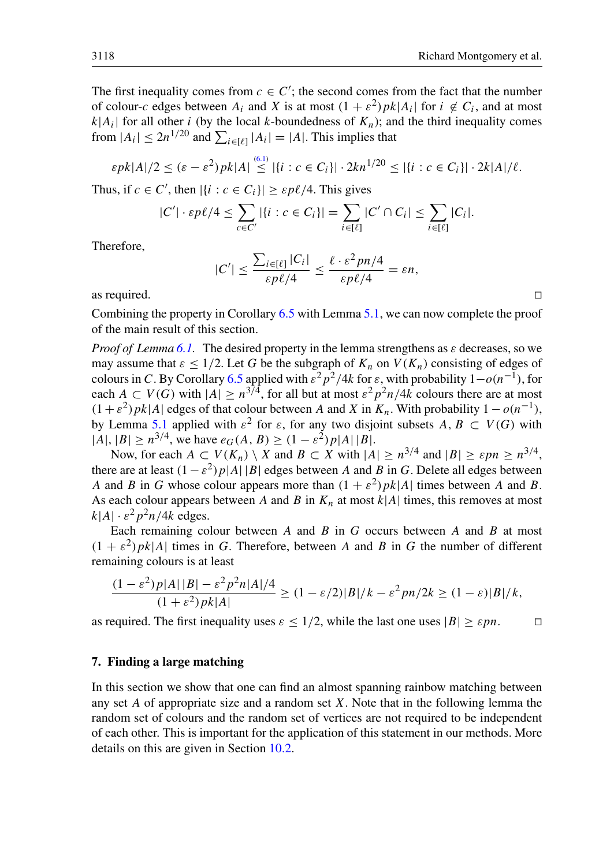The first inequality comes from  $c \in C'$ ; the second comes from the fact that the number of colour-c edges between  $A_i$  and X is at most  $(1 + \varepsilon^2) p k |A_i|$  for  $i \notin C_i$ , and at most  $k|A_i|$  for all other i (by the local k-boundedness of  $K_n$ ); and the third inequality comes from  $|A_i| \le 2n^{1/20}$  and  $\sum_{i \in [\ell]} |A_i| = |A|$ . This implies that

$$
\varepsilon p k |A|/2 \le (\varepsilon - \varepsilon^2) p k |A| \stackrel{(6.1)}{\le} |\{i : c \in C_i\}| \cdot 2kn^{1/20} \le |\{i : c \in C_i\}| \cdot 2k |A|/\ell.
$$

Thus, if  $c \in C'$ , then  $|\{i : c \in C_i\}| \ge \varepsilon p\ell/4$ . This gives

$$
|C'| \cdot \varepsilon p\ell/4 \leq \sum_{c \in C'} |\{i : c \in C_i\}| = \sum_{i \in [\ell]} |C' \cap C_i| \leq \sum_{i \in [\ell]} |C_i|.
$$

Therefore,

$$
|C'| \leq \frac{\sum_{i \in [\ell]} |C_i|}{\varepsilon p \ell / 4} \leq \frac{\ell \cdot \varepsilon^2 p n / 4}{\varepsilon p \ell / 4} = \varepsilon n,
$$

as required.  $\Box$ 

Combining the property in Corollary [6.5](#page-16-1) with Lemma [5.1,](#page-12-0) we can now complete the proof of the main result of this section.

*Proof of Lemma [6.1.](#page-14-0)* The desired property in the lemma strengthens as ε decreases, so we may assume that  $\varepsilon \leq 1/2$ . Let G be the subgraph of  $K_n$  on  $V(K_n)$  consisting of edges of colours in C. By Corollary [6.5](#page-16-1) applied with  $\varepsilon^2 p^2/4k$  for  $\varepsilon$ , with probability  $1-o(n^{-1})$ , for each  $A \subset V(G)$  with  $|A| \geq n^{3/4}$ , for all but at most  $\varepsilon^2 p^2 n/4k$  colours there are at most  $(1 + \varepsilon^2) p k |A|$  edges of that colour between A and X in  $K_n$ . With probability  $1 - o(n^{-1})$ , by Lemma [5.1](#page-12-0) applied with  $\varepsilon^2$  for  $\varepsilon$ , for any two disjoint subsets  $A, B \subset V(G)$  with  $|A|, |B| \ge n^{3/4}$ , we have  $e_G(A, B) \ge (1 - \varepsilon^2)p|A||B|$ .

Now, for each  $A \subset V(K_n) \setminus X$  and  $B \subset X$  with  $|A| \geq n^{3/4}$  and  $|B| \geq \varepsilon pn \geq n^{3/4}$ , there are at least  $(1 - \varepsilon^2)p|A||B|$  edges between A and B in G. Delete all edges between A and B in G whose colour appears more than  $(1 + \varepsilon^2) p k |A|$  times between A and B. As each colour appears between A and B in  $K_n$  at most  $k|A|$  times, this removes at most  $k|A| \cdot \varepsilon^2 p^2 n/4k$  edges.

Each remaining colour between  $A$  and  $B$  in  $G$  occurs between  $A$  and  $B$  at most  $(1 + \varepsilon^2) p k |A|$  times in G. Therefore, between A and B in G the number of different remaining colours is at least

$$
\frac{(1-\varepsilon^2)p|A||B| - \varepsilon^2p^2n|A|/4}{(1+\varepsilon^2)pk|A|} \ge (1-\varepsilon/2)|B|/k - \varepsilon^2pn/2k \ge (1-\varepsilon)|B|/k,
$$

as required. The first inequality uses  $\varepsilon \leq 1/2$ , while the last one uses  $|B| \geq \varepsilon pn$ .

## <span id="page-17-0"></span>7. Finding a large matching

In this section we show that one can find an almost spanning rainbow matching between any set  $A$  of appropriate size and a random set  $X$ . Note that in the following lemma the random set of colours and the random set of vertices are not required to be independent of each other. This is important for the application of this statement in our methods. More details on this are given in Section [10.2.](#page-25-0)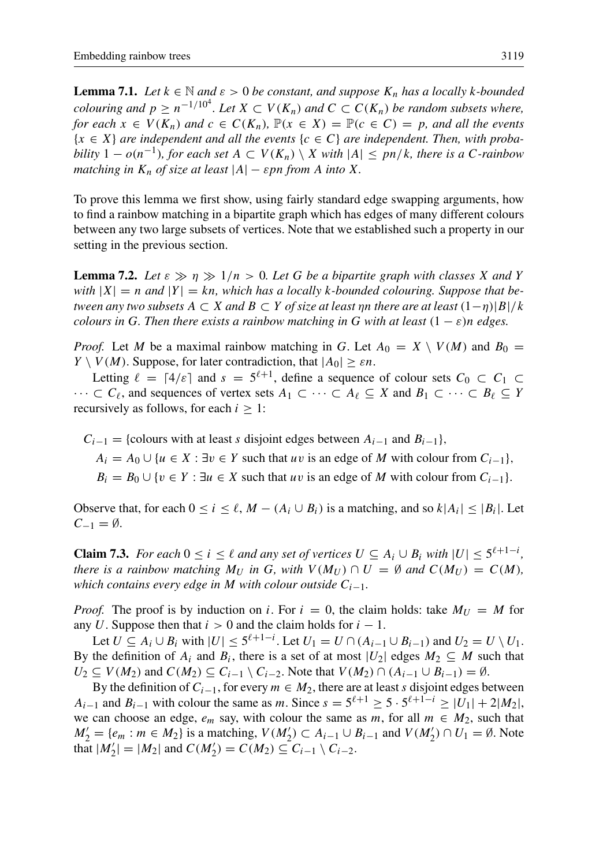<span id="page-18-1"></span>**Lemma 7.1.** *Let*  $k \in \mathbb{N}$  *and*  $\varepsilon > 0$  *be constant, and suppose*  $K_n$  *has a locally* k-bounded *colouring and*  $p \ge n^{-1/10^4}$ . Let  $X \subset V(K_n)$  and  $C \subset C(K_n)$  be random subsets where, *for each*  $x \in V(K_n)$  *and*  $c \in C(K_n)$ ,  $\mathbb{P}(x \in X) = \mathbb{P}(c \in C) = p$ *, and all the events* {x ∈ X} *are independent and all the events* {c ∈ C} *are independent. Then, with probability*  $1 - o(n^{-1})$ *, for each set*  $A \subset V(K_n) \setminus X$  *with*  $|A| \leq pn/k$ *, there is a C-rainbow matching in*  $K_n$  *of size at least*  $|A| - \varepsilon pn$  *from* A *into* X.

To prove this lemma we first show, using fairly standard edge swapping arguments, how to find a rainbow matching in a bipartite graph which has edges of many different colours between any two large subsets of vertices. Note that we established such a property in our setting in the previous section.

<span id="page-18-0"></span>**Lemma 7.2.** Let  $\varepsilon \gg \eta \gg 1/n > 0$ . Let G be a bipartite graph with classes X and Y with  $|X| = n$  and  $|Y| = kn$ , which has a locally k-bounded colouring. Suppose that be*tween any two subsets*  $A \subset X$  *and*  $B \subset Y$  *of size at least*  $\eta$ *n there are at least*  $(1-\eta)|B|/k$ *colours in* G. Then there exists a rainbow matching in G with at least  $(1 - \varepsilon)n$  edges.

*Proof.* Let M be a maximal rainbow matching in G. Let  $A_0 = X \setminus V(M)$  and  $B_0 =$  $Y \setminus V(M)$ . Suppose, for later contradiction, that  $|A_0| \geq \varepsilon n$ .

Letting  $\ell = \lceil 4/\varepsilon \rceil$  and  $s = 5^{\ell+1}$ , define a sequence of colour sets  $C_0 \subset C_1 \subset$  $\cdots \subset C_{\ell}$ , and sequences of vertex sets  $A_1 \subset \cdots \subset A_{\ell} \subseteq X$  and  $B_1 \subset \cdots \subset B_{\ell} \subseteq Y$ recursively as follows, for each  $i \geq 1$ :

 $C_{i-1}$  = {colours with at least s disjoint edges between  $A_{i-1}$  and  $B_{i-1}$ },

 $A_i = A_0 \cup \{u \in X : \exists v \in Y \text{ such that } uv \text{ is an edge of } M \text{ with colour from } C_{i-1}\},\$ 

 $B_i = B_0 \cup \{v \in Y : \exists u \in X \text{ such that } uv \text{ is an edge of } M \text{ with colour from } C_{i-1}\}.$ 

Observe that, for each  $0 \le i \le \ell$ ,  $M - (A_i \cup B_i)$  is a matching, and so  $k|A_i| \le |B_i|$ . Let  $C_{-1} = \emptyset$ .

<span id="page-18-2"></span>**Claim 7.3.** *For each*  $0 \le i \le \ell$  *and any set of vertices*  $U \subseteq A_i \cup B_i$  *with*  $|U| \le 5^{\ell+1-i}$ *, there is a rainbow matching*  $M_U$  *in* G, with  $V(M_U) \cap U = \emptyset$  and  $C(M_U) = C(M)$ , *which contains every edge in* M *with colour outside* Ci−1*.*

*Proof.* The proof is by induction on i. For  $i = 0$ , the claim holds: take  $M_U = M$  for any U. Suppose then that  $i > 0$  and the claim holds for  $i - 1$ .

Let  $U \subseteq A_i \cup B_i$  with  $|U| \leq 5^{\ell+1-i}$ . Let  $U_1 = U \cap (A_{i-1} \cup B_{i-1})$  and  $U_2 = U \setminus U_1$ . By the definition of  $A_i$  and  $B_i$ , there is a set of at most  $|U_2|$  edges  $M_2 \subseteq M$  such that  $U_2 \subseteq V(M_2)$  and  $C(M_2) \subseteq C_{i-1} \setminus C_{i-2}$ . Note that  $V(M_2) \cap (A_{i-1} \cup B_{i-1}) = \emptyset$ .

By the definition of  $C_{i-1}$ , for every  $m \in M_2$ , there are at least s disjoint edges between  $A_{i-1}$  and  $B_{i-1}$  with colour the same as m. Since  $s = 5^{\ell+1} \ge 5 \cdot 5^{\ell+1-i} \ge |U_1| + 2|M_2|$ , we can choose an edge,  $e_m$  say, with colour the same as m, for all  $m \in M_2$ , such that  $M'_2 = \{e_m : m \in M_2\}$  is a matching,  $V(M'_2) \subset A_{i-1} \cup B_{i-1}$  and  $V(M'_2) \cap U_1 = \emptyset$ . Note that  $|M'_2| = |M_2|$  and  $C(M'_2) = C(M_2) \subseteq C_{i-1} \setminus C_{i-2}$ .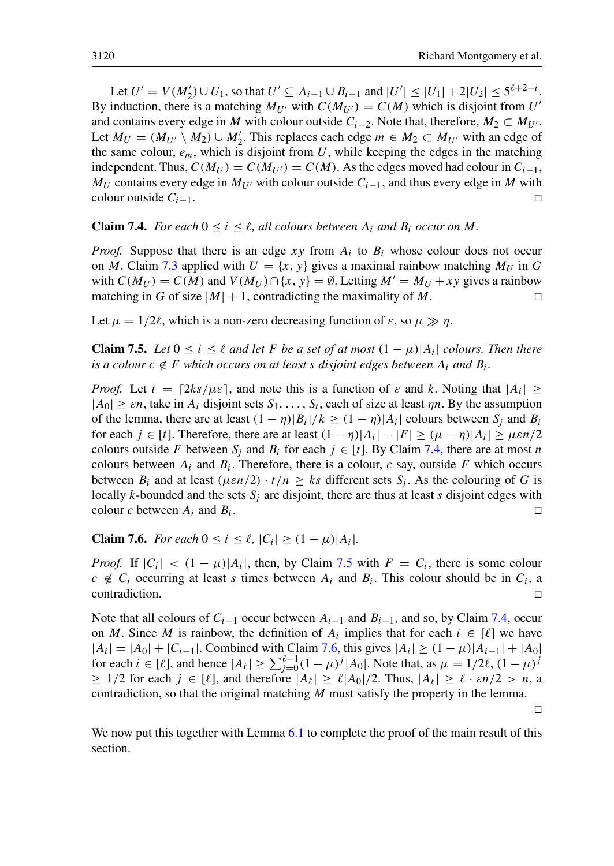Let  $U' = V(M'_2) \cup U_1$ , so that  $U' \subseteq A_{i-1} \cup B_{i-1}$  and  $|U'| \leq |U_1| + 2|U_2| \leq 5^{\ell+2-i}$ . By induction, there is a matching  $M_{U'}$  with  $C(M_{U'}) = C(M)$  which is disjoint from  $U'$ and contains every edge in M with colour outside  $C_{i-2}$ . Note that, therefore,  $M_2 \subset M_{U'}$ . Let  $M_U = (M_{U'} \setminus M_2) \cup M'_2$ . This replaces each edge  $m \in M_2 \subset M_{U'}$  with an edge of the same colour,  $e_m$ , which is disjoint from U, while keeping the edges in the matching independent. Thus,  $C(M_U) = C(M_{U}) = C(M)$ . As the edges moved had colour in  $C_{i-1}$ ,  $M_U$  contains every edge in  $M_{U'}$  with colour outside  $C_{i-1}$ , and thus every edge in M with colour outside  $C_{i-1}$ .

# <span id="page-19-0"></span>**Claim 7.4.** *For each*  $0 \le i \le \ell$ , *all colours between*  $A_i$  *and*  $B_i$  *occur on* M.

*Proof.* Suppose that there is an edge  $xy$  from  $A_i$  to  $B_i$  whose colour does not occur on M. Claim [7.3](#page-18-2) applied with  $U = \{x, y\}$  gives a maximal rainbow matching  $M_U$  in G with  $C(M_U) = C(M)$  and  $V(M_U) \cap \{x, y\} = \emptyset$ . Letting  $M' = M_U + xy$  gives a rainbow matching in G of size  $|M| + 1$ , contradicting the maximality of M.

<span id="page-19-1"></span>Let  $\mu = 1/2\ell$ , which is a non-zero decreasing function of  $\varepsilon$ , so  $\mu \gg \eta$ .

**Claim 7.5.** *Let*  $0 \le i \le \ell$  *and let F be a set of at most*  $(1 - \mu)|A_i|$  *colours. Then there is a colour*  $c \notin F$  *which occurs on at least s disjoint edges between*  $A_i$  *and*  $B_i$ *.* 

*Proof.* Let  $t = \lfloor 2ks/\mu \varepsilon \rfloor$ , and note this is a function of  $\varepsilon$  and k. Noting that  $|A_i| \ge$  $|A_0| \geq \varepsilon n$ , take in  $A_i$  disjoint sets  $S_1, \ldots, S_t$ , each of size at least  $\eta n$ . By the assumption of the lemma, there are at least  $(1 - \eta)|B_i|/k \ge (1 - \eta)|A_i|$  colours between  $S_j$  and  $B_i$ for each  $j \in [t]$ . Therefore, there are at least  $(1 - \eta)|A_i| - |F| \ge (\mu - \eta)|A_i| \ge \mu \varepsilon n/2$ colours outside F between  $S_i$  and  $B_i$  for each  $j \in [t]$ . By Claim [7.4,](#page-19-0) there are at most n colours between  $A_i$  and  $B_i$ . Therefore, there is a colour, c say, outside F which occurs between  $B_i$  and at least  $(\mu \varepsilon n/2) \cdot t/n \geq ks$  different sets  $S_i$ . As the colouring of G is locally k-bounded and the sets  $S_i$  are disjoint, there are thus at least s disjoint edges with colour c between  $A_i$  and  $B_i$ . . The contract of the contract of the contract of the contract of the contract of the contract of the contract of the contract of the contract of the contract of the contract of the contract of the contract of the contract

<span id="page-19-2"></span>**Claim 7.6.** *For each*  $0 \le i \le \ell$ ,  $|C_i| \ge (1 - \mu)|A_i|$ .

*Proof.* If  $|C_i| < (1 - \mu)|A_i|$ , then, by Claim [7.5](#page-19-1) with  $F = C_i$ , there is some colour  $c \notin C_i$  occurring at least s times between  $A_i$  and  $B_i$ . This colour should be in  $C_i$ , a  $\Box$ contradiction.  $\Box$ 

Note that all colours of  $C_{i-1}$  occur between  $A_{i-1}$  and  $B_{i-1}$ , and so, by Claim [7.4,](#page-19-0) occur on M. Since M is rainbow, the definition of  $A_i$  implies that for each  $i \in [\ell]$  we have  $|A_i| = |A_0| + |C_{i-1}|$ . Combined with Claim [7.6,](#page-19-2) this gives  $|A_i| \ge (1 - \mu)|A_{i-1}| + |A_0|$ for each  $i \in [\ell]$ , and hence  $|A_{\ell}| \ge \sum_{j=0}^{\ell-1} (1 - \mu)^j |A_0|$ . Note that, as  $\mu = 1/2\ell$ ,  $(1 - \mu)^j$  $\geq 1/2$  for each  $j \in [\ell]$ , and therefore  $|A_{\ell}| \geq \ell |A_0|/2$ . Thus,  $|A_{\ell}| \geq \ell \cdot \varepsilon n/2 > n$ , a contradiction, so that the original matching  $M$  must satisfy the property in the lemma.

 $\Box$ 

We now put this together with Lemma  $6.1$  to complete the proof of the main result of this section.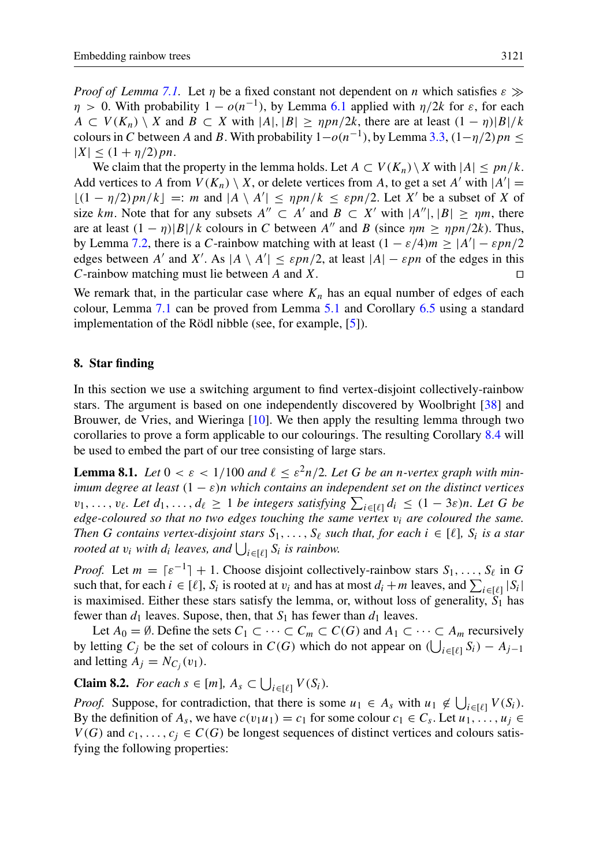*Proof of Lemma* [7.1.](#page-18-1) Let *n* be a fixed constant not dependent on *n* which satisfies  $\varepsilon \gg$  $\eta > 0$ . With probability  $1 - o(n^{-1})$ , by Lemma [6.1](#page-14-0) applied with  $\eta/2k$  for  $\varepsilon$ , for each  $A \subset V(K_n) \setminus X$  and  $B \subset X$  with  $|A|, |B| \geq npn/2k$ , there are at least  $(1 - n)|B|/k$ colours in C between A and B. With probability  $1-o(n^{-1})$ , by Lemma [3.3,](#page-9-0)  $(1-\eta/2)pn \le$  $|X| \leq (1 + \eta/2) p n$ .

We claim that the property in the lemma holds. Let  $A \subset V(K_n) \setminus X$  with  $|A| \leq pn/k$ . Add vertices to A from  $V(K_n) \setminus X$ , or delete vertices from A, to get a set A' with  $|A'| =$  $\lfloor (1 - \eta/2)pn/k \rfloor =: m$  and  $|A \setminus A'| \leq npn/k \leq \varepsilon pn/2$ . Let X' be a subset of X of size km. Note that for any subsets  $A'' \subset A'$  and  $B \subset X'$  with  $|A''|, |B| \geq \eta m$ , there are at least  $(1 - \eta)|B|/k$  colours in C between A'' and B (since  $\eta m > \eta pn/2k$ ). Thus, by Lemma [7.2,](#page-18-0) there is a C-rainbow matching with at least  $(1 - \varepsilon/4)m \ge |A'| - \varepsilon pn/2$ edges between A' and X'. As  $|A \setminus A'| \le \varepsilon pn/2$ , at least  $|A| - \varepsilon pn$  of the edges in this C-rainbow matching must lie between A and X.

We remark that, in the particular case where  $K_n$  has an equal number of edges of each colour, Lemma [7.1](#page-18-1) can be proved from Lemma [5.1](#page-12-0) and Corollary [6.5](#page-16-1) using a standard implementation of the Rödl nibble (see, for example, [\[5\]](#page-30-18)).

# <span id="page-20-0"></span>8. Star finding

In this section we use a switching argument to find vertex-disjoint collectively-rainbow stars. The argument is based on one independently discovered by Woolbright [\[38\]](#page-31-19) and Brouwer, de Vries, and Wieringa [\[10\]](#page-30-17). We then apply the resulting lemma through two corollaries to prove a form applicable to our colourings. The resulting Corollary [8.4](#page-22-1) will be used to embed the part of our tree consisting of large stars.

<span id="page-20-2"></span>**Lemma 8.1.** Let  $0 < \varepsilon < 1/100$  and  $\ell \leq \varepsilon^2 n/2$ . Let G be an n-vertex graph with min*imum degree at least* (1 − ε)n *which contains an independent set on the distinct vertices*  $v_1, \ldots, v_\ell$ . Let  $d_1, \ldots, d_\ell \geq 1$  *be integers satisfying*  $\sum_{i \in [\ell]} d_i \leq (1 - 3\varepsilon)n$ . Let G *be edge-coloured so that no two edges touching the same vertex*  $v_i$  *are coloured the same. Then G contains vertex-disjoint stars*  $S_1, \ldots, S_\ell$  *such that, for each*  $i \in [\ell]$ *,*  $S_i$  *is a star rooted at*  $v_i$  with  $d_i$  leaves, and  $\bigcup_{i \in [\ell]} S_i$  is rainbow.

*Proof.* Let  $m = \lceil \varepsilon^{-1} \rceil + 1$ . Choose disjoint collectively-rainbow stars  $S_1, \ldots, S_\ell$  in G such that, for each  $i \in [\ell], S_i$  is rooted at  $v_i$  and has at most  $d_i + m$  leaves, and  $\sum_{i \in [\ell]} |S_i|$ is maximised. Either these stars satisfy the lemma, or, without loss of generality,  $S_1$  has fewer than  $d_1$  leaves. Supose, then, that  $S_1$  has fewer than  $d_1$  leaves.

Let  $A_0 = \emptyset$ . Define the sets  $C_1 \subset \cdots \subset C_m \subset C(G)$  and  $A_1 \subset \cdots \subset A_m$  recursively by letting  $C_j$  be the set of colours in  $C(G)$  which do not appear on  $\left(\bigcup_{i \in [\ell]} S_i\right) - A_{j-1}$ and letting  $A_j = N_{C_j}(v_1)$ .

<span id="page-20-1"></span>**Claim 8.2.** *For each*  $s \in [m]$ ,  $A_s \subset \bigcup_{i \in [\ell]} V(S_i)$ .

*Proof.* Suppose, for contradiction, that there is some  $u_1 \in A_s$  with  $u_1 \notin \bigcup_{i \in [\ell]} V(S_i)$ . By the definition of  $A_s$ , we have  $c(v_1u_1) = c_1$  for some colour  $c_1 \in C_s$ . Let  $u_1, \ldots, u_j \in$  $V(G)$  and  $c_1, \ldots, c_i \in C(G)$  be longest sequences of distinct vertices and colours satisfying the following properties: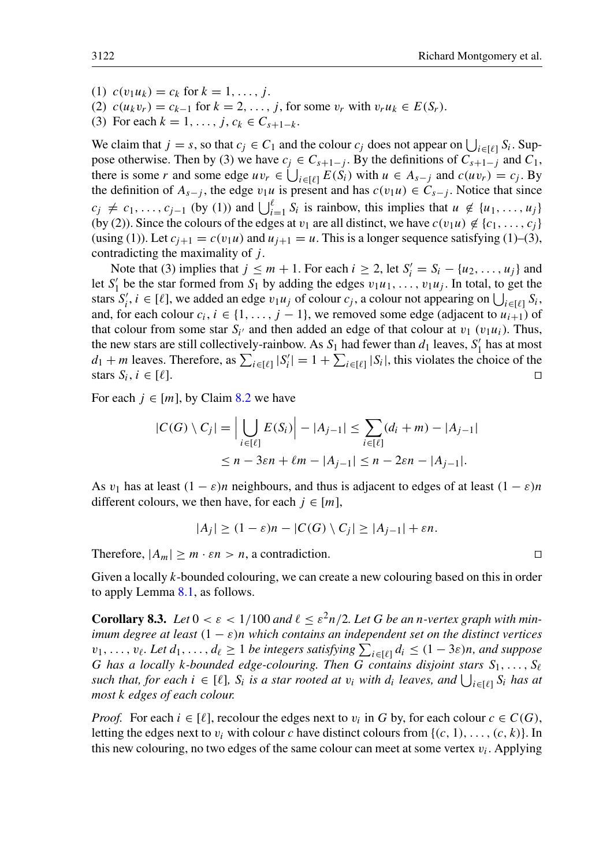- (1)  $c(v_1u_k) = c_k$  for  $k = 1, ..., i$ .
- (2)  $c(u_k v_r) = c_{k-1}$  for  $k = 2, ..., j$ , for some  $v_r$  with  $v_r u_k \in E(S_r)$ .
- (3) For each  $k = 1, \ldots, j, c_k \in C_{s+1-k}$ .

We claim that  $j = s$ , so that  $c_j \in C_1$  and the colour  $c_j$  does not appear on  $\bigcup_{i \in [\ell]} S_i$ . Suppose otherwise. Then by (3) we have  $c_j \in C_{s+1-j}$ . By the definitions of  $C_{s+1-j}$  and  $C_1$ , there is some r and some edge  $uv_r \in \bigcup_{i \in [\ell]} E(S_i)$  with  $u \in A_{s-j}$  and  $c(uv_r) = c_j$ . By the definition of  $A_{s-j}$ , the edge  $v_1u$  is present and has  $c(v_1u) \in C_{s-j}$ . Notice that since  $c_j \neq c_1, \ldots, c_{j-1}$  (by (1)) and  $\bigcup_{i=1}^{\ell} S_i$  is rainbow, this implies that  $u \notin \{u_1, \ldots, u_j\}$ (by (2)). Since the colours of the edges at  $v_1$  are all distinct, we have  $c(v_1u) \notin \{c_1, \ldots, c_i\}$ (using (1)). Let  $c_{i+1} = c(v_1u)$  and  $u_{i+1} = u$ . This is a longer sequence satisfying (1)–(3), contradicting the maximality of  $j$ .

Note that (3) implies that  $j \le m + 1$ . For each  $i \ge 2$ , let  $S_i' = S_i - \{u_2, \ldots, u_j\}$  and let  $S'_1$  be the star formed from  $S_1$  by adding the edges  $v_1u_1, \ldots, v_1u_j$ . In total, to get the stars  $S'_i$ ,  $i \in [\ell]$ , we added an edge  $v_1u_j$  of colour  $c_j$ , a colour not appearing on  $\bigcup_{i \in [\ell]} S_i$ , and, for each colour  $c_i$ ,  $i \in \{1, ..., j - 1\}$ , we removed some edge (adjacent to  $u_{i+1}$ ) of that colour from some star  $S_{i'}$  and then added an edge of that colour at  $v_1$  ( $v_1u_i$ ). Thus, the new stars are still collectively-rainbow. As  $S_1$  had fewer than  $d_1$  leaves,  $S'_1$  has at most  $d_1 + m$  leaves. Therefore, as  $\sum_{i \in [\ell]} |S'_i| = 1 + \sum_{i \in [\ell]} |S_i|$ , this violates the choice of the stars  $S_i, i \in [\ell]$ . ,  $i \in [\ell]$ .

For each  $i \in [m]$ , by Claim [8.2](#page-20-1) we have

$$
|C(G) \setminus C_j| = \Big| \bigcup_{i \in [\ell]} E(S_i) \Big| - |A_{j-1}| \le \sum_{i \in [\ell]} (d_i + m) - |A_{j-1}|
$$
  

$$
\le n - 3\epsilon n + \ell m - |A_{j-1}| \le n - 2\epsilon n - |A_{j-1}|.
$$

As  $v_1$  has at least  $(1 - \varepsilon)n$  neighbours, and thus is adjacent to edges of at least  $(1 - \varepsilon)n$ different colours, we then have, for each  $j \in [m]$ ,

$$
|A_j| \ge (1 - \varepsilon)n - |C(G) \setminus C_j| \ge |A_{j-1}| + \varepsilon n.
$$

Therefore,  $|A_m| \ge m \cdot \varepsilon n > n$ , a contradiction.

Given a locally k-bounded colouring, we can create a new colouring based on this in order to apply Lemma [8.1,](#page-20-2) as follows.

<span id="page-21-0"></span>**Corollary 8.3.** Let  $0 < \varepsilon < 1/100$  and  $\ell \leq \varepsilon^2 n/2$ . Let G be an n-vertex graph with min*imum degree at least*  $(1 - \varepsilon)n$  *which contains an independent set on the distinct vertices*  $v_1, \ldots, v_\ell$ . Let  $d_1, \ldots, d_\ell \geq 1$  *be integers satisfying*  $\sum_{i \in [\ell]} d_i \leq (1 - 3\varepsilon)n$ *, and suppose* G has a locally k-bounded edge-colouring. Then G contains disjoint stars  $S_1, \ldots, S_\ell$  $s$ *uch that, for each*  $i \in [\ell]$ ,  $S_i$  *is a star rooted at*  $v_i$  *with*  $d_i$  *leaves, and*  $\bigcup_{i \in [\ell]} S_i$  *has at most* k *edges of each colour.*

*Proof.* For each  $i \in [\ell]$ , recolour the edges next to  $v_i$  in G by, for each colour  $c \in C(G)$ , letting the edges next to  $v_i$  with colour c have distinct colours from  $\{(c, 1), \ldots, (c, k)\}\)$ . In this new colouring, no two edges of the same colour can meet at some vertex  $v_i$ . Applying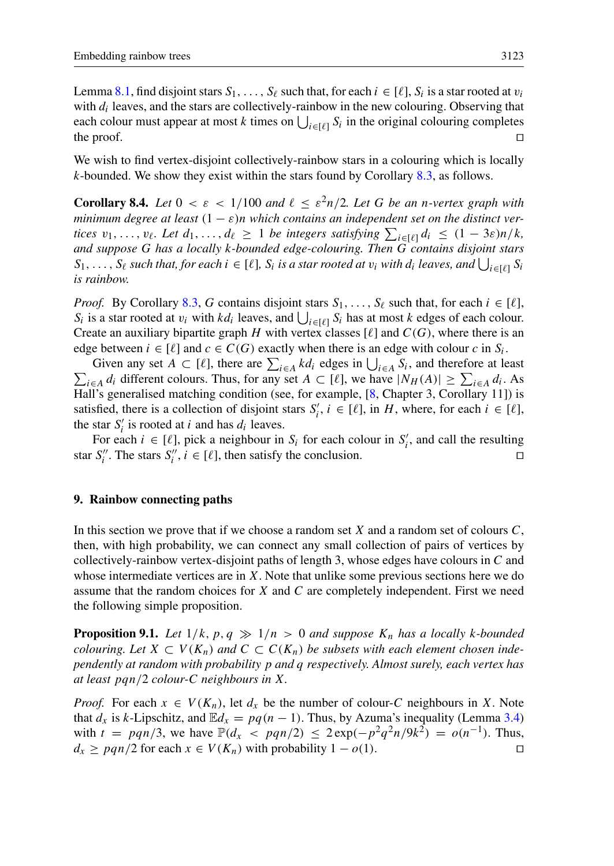Lemma [8.1,](#page-20-2) find disjoint stars  $S_1, \ldots, S_\ell$  such that, for each  $i \in [\ell], S_i$  is a star rooted at  $v_i$ with  $d_i$  leaves, and the stars are collectively-rainbow in the new colouring. Observing that each colour must appear at most k times on  $\bigcup_{i \in [\ell]} S_i$  in the original colouring completes the proof.  $\Box$ 

We wish to find vertex-disjoint collectively-rainbow stars in a colouring which is locally  $k$ -bounded. We show they exist within the stars found by Corollary [8.3,](#page-21-0) as follows.

<span id="page-22-1"></span>**Corollary 8.4.** Let  $0 < \varepsilon < 1/100$  and  $\ell \leq \varepsilon^2 n/2$ . Let G be an n-vertex graph with *minimum degree at least*  $(1 - \varepsilon)n$  *which contains an independent set on the distinct vertices*  $v_1, \ldots, v_\ell$ . Let  $d_1, \ldots, d_\ell \geq 1$  *be integers satisfying*  $\sum_{i \in [\ell]} d_i \leq (1 - 3\varepsilon)n/k$ , *and suppose* G *has a locally* k*-bounded edge-colouring. Then* G *contains disjoint stars*  $S_1, \ldots, S_\ell$  such that, for each  $i \in [\ell]$ ,  $S_i$  is a star rooted at  $v_i$  with  $d_i$  leaves, and  $\bigcup_{i \in [\ell]} S_i$ *is rainbow.*

*Proof.* By Corollary [8.3,](#page-21-0) G contains disjoint stars  $S_1, \ldots, S_\ell$  such that, for each  $i \in [\ell]$ ,  $S_i$  is a star rooted at  $v_i$  with  $kd_i$  leaves, and  $\bigcup_{i \in [\ell]} S_i$  has at most k edges of each colour. Create an auxiliary bipartite graph H with vertex classes  $[\ell]$  and  $C(G)$ , where there is an edge between  $i \in [\ell]$  and  $c \in C(G)$  exactly when there is an edge with colour c in  $S_i$ .

Given any set  $A \subset [\ell]$ , there are  $\sum_{i \in A} k d_i$  edges in  $\bigcup_{i \in A} S_i$ , and therefore at least  $\sum_{i\in A} d_i$  different colours. Thus, for any set  $A \subset [\ell]$ , we have  $|N_H(A)| \ge \sum_{i\in A} d_i$ . As Hall's generalised matching condition (see, for example, [\[8,](#page-30-19) Chapter 3, Corollary 11]) is satisfied, there is a collection of disjoint stars  $S'_i$ ,  $i \in [\ell]$ , in H, where, for each  $i \in [\ell]$ , the star  $S_i'$  is rooted at *i* and has  $d_i$  leaves.

For each  $i \in [\ell]$ , pick a neighbour in  $S_i$  for each colour in  $S'_i$ , and call the resulting star  $S_i''$ . The stars  $S_i''$ ,  $i \in [\ell]$ , then satisfy the conclusion.

#### 9. Rainbow connecting paths

In this section we prove that if we choose a random set X and a random set of colours  $C$ , then, with high probability, we can connect any small collection of pairs of vertices by collectively-rainbow vertex-disjoint paths of length 3, whose edges have colours in  $C$  and whose intermediate vertices are in X. Note that unlike some previous sections here we do assume that the random choices for  $X$  and  $C$  are completely independent. First we need the following simple proposition.

<span id="page-22-2"></span>**Proposition 9.1.** Let  $1/k$ ,  $p, q \gg 1/n > 0$  and suppose  $K_n$  has a locally k-bounded *colouring. Let*  $X \subset V(K_n)$  and  $C \subset C(K_n)$  be subsets with each element chosen inde*pendently at random with probability* p *and* q *respectively. Almost surely, each vertex has at least* pqn/2 *colour-*C *neighbours in* X*.*

<span id="page-22-0"></span>*Proof.* For each  $x \in V(K_n)$ , let  $d_x$  be the number of colour-C neighbours in X. Note that  $d_x$  is k-Lipschitz, and  $\mathbb{E}d_x = pq(n-1)$ . Thus, by Azuma's inequality (Lemma [3.4\)](#page-10-3) with  $t = p q n/3$ , we have  $\mathbb{P}(d_x < p q n/2) \leq 2 \exp(-p^2 q^2 n/9k^2) = o(n^{-1})$ . Thus,  $d_x \geq pgn/2$  for each  $x \in V(K_n)$  with probability  $1 - o(1)$ .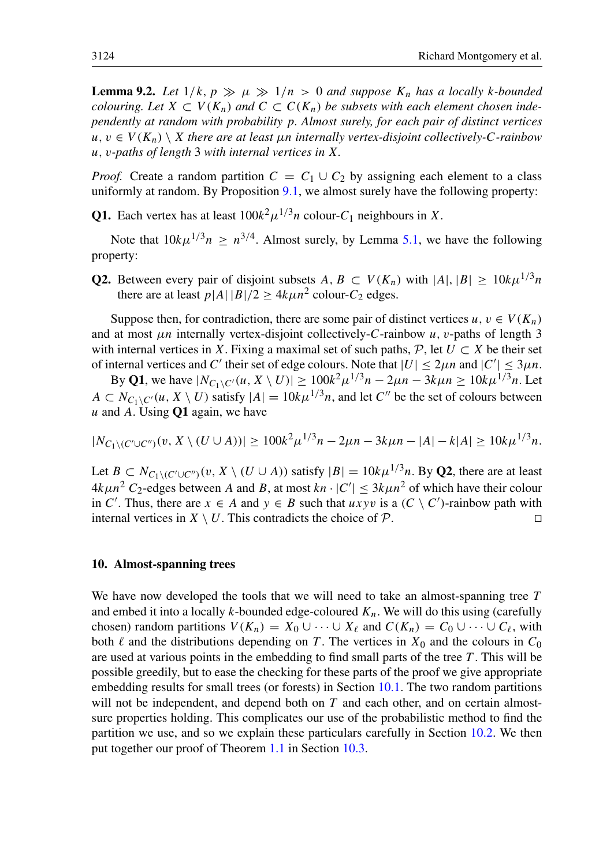**Lemma 9.2.** Let  $1/k$ ,  $p \gg \mu \gg 1/n > 0$  and suppose  $K_n$  has a locally k-bounded *colouring. Let*  $X \subset V(K_n)$  *and*  $C \subset C(K_n)$  *be subsets with each element chosen independently at random with probability* p*. Almost surely, for each pair of distinct vertices*  $u, v \in V(K_n) \setminus X$  there are at least  $\mu$ n internally vertex-disjoint collectively-C-rainbow u, v*-paths of length* 3 *with internal vertices in* X*.*

*Proof.* Create a random partition  $C = C_1 \cup C_2$  by assigning each element to a class uniformly at random. By Proposition [9.1,](#page-22-2) we almost surely have the following property:

**Q1.** Each vertex has at least  $100k^2 \mu^{1/3} n$  colour- $C_1$  neighbours in X.

Note that  $10k\mu^{1/3}n \geq n^{3/4}$ . Almost surely, by Lemma [5.1,](#page-12-0) we have the following property:

**Q2.** Between every pair of disjoint subsets  $A, B \subset V(K_n)$  with  $|A|, |B| > 10k\mu^{1/3}n$ there are at least  $p|A||B|/2 \ge 4k\mu n^2$  colour- $C_2$  edges.

Suppose then, for contradiction, there are some pair of distinct vertices  $u, v \in V(K_n)$ and at most  $\mu$ n internally vertex-disjoint collectively-C-rainbow  $\mu$ , v-paths of length 3 with internal vertices in X. Fixing a maximal set of such paths,  $\mathcal{P}$ , let  $U \subset X$  be their set of internal vertices and C' their set of edge colours. Note that  $|U| \le 2\mu n$  and  $|C'| \le 3\mu n$ .

By Q1, we have  $|N_{C_1 \setminus C'}(u, X \setminus U)| \ge 100k^2 \mu^{1/3} n - 2\mu n - 3k \mu n \ge 10k \mu^{1/3} n$ . Let  $A \subset N_{C_1 \setminus C'}(u, X \setminus U)$  satisfy  $|A| = 10k\mu^{1/3}n$ , and let C'' be the set of colours between  $u$  and A. Using  $Q1$  again, we have

$$
|N_{C_1 \setminus (C' \cup C'')}(v, X \setminus (U \cup A))| \ge 100k^2 \mu^{1/3} n - 2\mu n - 3k\mu n - |A| - k|A| \ge 10k\mu^{1/3} n.
$$

Let  $B \subset N_{C_1 \setminus (C' \cup C'')}(v, X \setminus (U \cup A))$  satisfy  $|B| = 10k\mu^{1/3}n$ . By Q2, there are at least  $4k\mu n^2$  C<sub>2</sub>-edges between A and B, at most  $kn \cdot |C'| \leq 3k\mu n^2$  of which have their colour in C'. Thus, there are  $x \in A$  and  $y \in B$  such that  $uxyv$  is a  $(C \setminus C')$ -rainbow path with internal vertices in  $X \setminus U$ . This contradicts the choice of  $P$ .

## <span id="page-23-0"></span>10. Almost-spanning trees

We have now developed the tools that we will need to take an almost-spanning tree  $T$ and embed it into a locally k-bounded edge-coloured  $K_n$ . We will do this using (carefully chosen) random partitions  $V(K_n) = X_0 \cup \cdots \cup X_\ell$  and  $C(K_n) = C_0 \cup \cdots \cup C_\ell$ , with both  $\ell$  and the distributions depending on T. The vertices in  $X_0$  and the colours in  $C_0$ are used at various points in the embedding to find small parts of the tree  $T$ . This will be possible greedily, but to ease the checking for these parts of the proof we give appropriate embedding results for small trees (or forests) in Section [10.1.](#page-24-0) The two random partitions will not be independent, and depend both on T and each other, and on certain almostsure properties holding. This complicates our use of the probabilistic method to find the partition we use, and so we explain these particulars carefully in Section [10.2.](#page-25-0) We then put together our proof of Theorem [1.1](#page-1-0) in Section [10.3.](#page-26-0)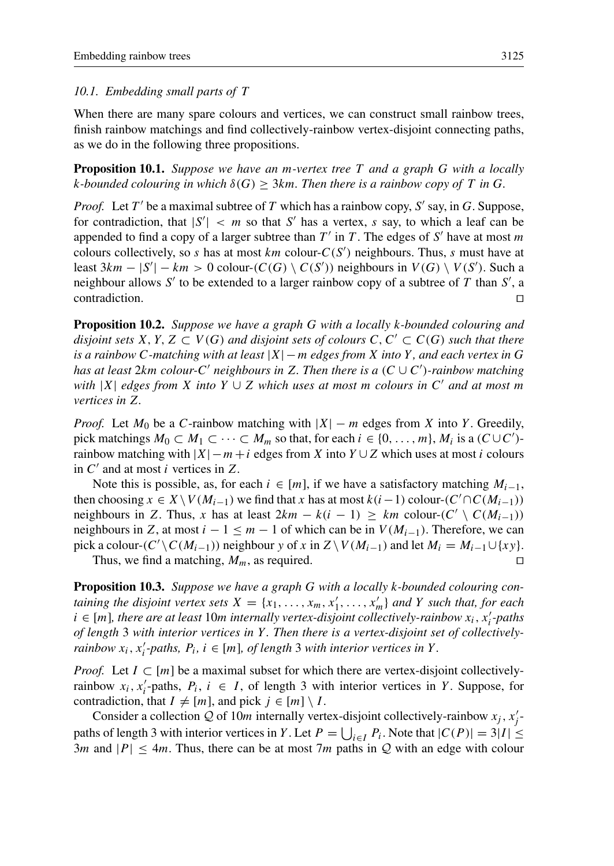## <span id="page-24-0"></span>*10.1. Embedding small parts of* T

<span id="page-24-1"></span>When there are many spare colours and vertices, we can construct small rainbow trees, finish rainbow matchings and find collectively-rainbow vertex-disjoint connecting paths, as we do in the following three propositions.

Proposition 10.1. *Suppose we have an* m*-vertex tree* T *and a graph* G *with a locally* k-bounded colouring in which  $\delta(G) \geq 3km$ . Then there is a rainbow copy of T in G.

*Proof.* Let T' be a maximal subtree of T which has a rainbow copy, S' say, in G. Suppose, for contradiction, that  $|S'| < m$  so that S' has a vertex, s say, to which a leaf can be appended to find a copy of a larger subtree than  $T'$  in T. The edges of S' have at most m colours collectively, so s has at most  $km$  colour- $C(S')$  neighbours. Thus, s must have at least 3km –  $|S'| - km > 0$  colour- $(C(G) \setminus C(S'))$  neighbours in  $V(G) \setminus V(S')$ . Such a neighbour allows S' to be extended to a larger rainbow copy of a subtree of T than S', a contradiction.  $\Box$ 

<span id="page-24-2"></span>Proposition 10.2. *Suppose we have a graph* G *with a locally* k*-bounded colouring and disjoint sets*  $X, Y, Z \subset V(G)$  *and disjoint sets of colours*  $C, C' \subset C(G)$  *such that there is a rainbow* C*-matching with at least* |X| −m *edges from* X *into* Y *, and each vertex in* G *has at least* 2km *colour-*C <sup>0</sup> *neighbours in* Z*. Then there is a* (C ∪ C 0 )*-rainbow matching with* |X| *edges from* X *into* Y ∪ Z *which uses at most* m *colours in* C <sup>0</sup> *and at most* m *vertices in* Z*.*

*Proof.* Let  $M_0$  be a C-rainbow matching with  $|X| - m$  edges from X into Y. Greedily, pick matchings  $M_0 \subset M_1 \subset \cdots \subset M_m$  so that, for each  $i \in \{0, \ldots, m\}$ ,  $M_i$  is a  $(C \cup C')$ rainbow matching with  $|X| - m + i$  edges from X into  $Y \cup Z$  which uses at most i colours in  $C'$  and at most i vertices in Z.

Note this is possible, as, for each  $i \in [m]$ , if we have a satisfactory matching  $M_{i-1}$ , then choosing  $x \in X\setminus V(M_{i-1})$  we find that x has at most  $k(i-1)$  colour- $(C'\cap C(M_{i-1}))$ neighbours in Z. Thus, x has at least  $2km - k(i - 1) \geq km$  colour- $(C' \setminus C(M_{i-1}))$ neighbours in Z, at most  $i - 1 \le m - 1$  of which can be in  $V(M_{i-1})$ . Therefore, we can pick a colour- $(C' \setminus C(M_{i-1}))$  neighbour y of x in  $Z \setminus V(M_{i-1})$  and let  $M_i = M_{i-1} \cup \{xy\}$ .

Thus, we find a matching,  $M_m$ , as required.

<span id="page-24-3"></span>Proposition 10.3. *Suppose we have a graph* G *with a locally* k*-bounded colouring con*taining the disjoint vertex sets  $X = \{x_1, \ldots, x_m, x'_1, \ldots, x'_m\}$  and Y such that, for each  $i \in [m]$ , there are at least 10m internally vertex-disjoint collectively-rainbow  $x_i$ ,  $x'_i$ -paths *of length* 3 *with interior vertices in* Y *. Then there is a vertex-disjoint set of collectivelyrainbow*  $x_i$ ,  $x'_i$ -paths,  $P_i$ ,  $i \in [m]$ , of length 3 *with interior vertices in* Y.

*Proof.* Let  $I \subset [m]$  be a maximal subset for which there are vertex-disjoint collectivelyrainbow  $x_i$ ,  $x'_i$ -paths,  $P_i$ ,  $i \in I$ , of length 3 with interior vertices in Y. Suppose, for contradiction, that  $I \neq [m]$ , and pick  $j \in [m] \setminus I$ .

Consider a collection Q of 10m internally vertex-disjoint collectively-rainbow  $x_j$ ,  $x'_j$ paths of length 3 with interior vertices in Y. Let  $P = \bigcup_{i \in I} P_i$ . Note that  $|C(P)| = 3|I| \le$ 3m and  $|P| \le 4m$ . Thus, there can be at most 7m paths in Q with an edge with colour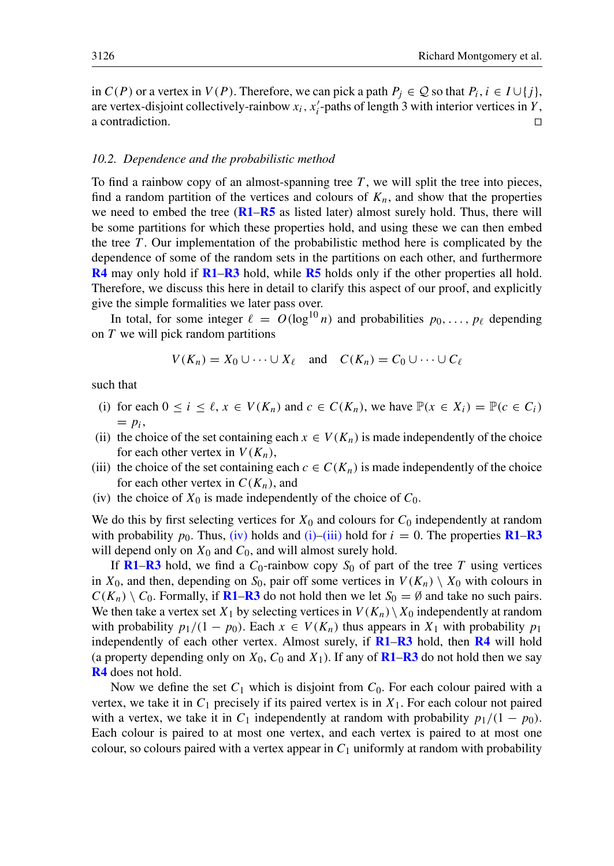in  $C(P)$  or a vertex in  $V(P)$ . Therefore, we can pick a path  $P_j \in \mathcal{Q}$  so that  $P_i, i \in I \cup \{j\}$ , are vertex-disjoint collectively-rainbow  $x_i$ ,  $x'_i$ -paths of length 3 with interior vertices in Y, a contradiction.  $\Box$ 

## <span id="page-25-0"></span>*10.2. Dependence and the probabilistic method*

To find a rainbow copy of an almost-spanning tree  $T$ , we will split the tree into pieces, find a random partition of the vertices and colours of  $K_n$ , and show that the properties we need to embed the tree  $(R1-R5)$  $(R1-R5)$  $(R1-R5)$  $(R1-R5)$  $(R1-R5)$  as listed later) almost surely hold. Thus, there will be some partitions for which these properties hold, and using these we can then embed the tree  $T$ . Our implementation of the probabilistic method here is complicated by the dependence of some of the random sets in the partitions on each other, and furthermore [R4](#page-27-0) may only hold if [R1](#page-26-1)–[R3](#page-27-1) hold, while [R5](#page-28-0) holds only if the other properties all hold. Therefore, we discuss this here in detail to clarify this aspect of our proof, and explicitly give the simple formalities we later pass over.

In total, for some integer  $\ell = O(\log^{10} n)$  and probabilities  $p_0, \ldots, p_\ell$  depending on T we will pick random partitions

$$
V(K_n) = X_0 \cup \cdots \cup X_\ell \quad \text{and} \quad C(K_n) = C_0 \cup \cdots \cup C_\ell
$$

such that

- <span id="page-25-2"></span>(i) for each  $0 \le i \le \ell, x \in V(K_n)$  and  $c \in C(K_n)$ , we have  $\mathbb{P}(x \in X_i) = \mathbb{P}(c \in C_i)$  $= p_i,$
- <span id="page-25-4"></span>(ii) the choice of the set containing each  $x \in V(K_n)$  is made independently of the choice for each other vertex in  $V(K_n)$ ,
- <span id="page-25-3"></span>(iii) the choice of the set containing each  $c \in C(K_n)$  is made independently of the choice for each other vertex in  $C(K_n)$ , and
- <span id="page-25-1"></span>(iv) the choice of  $X_0$  is made independently of the choice of  $C_0$ .

We do this by first selecting vertices for  $X_0$  and colours for  $C_0$  independently at random with probability  $p_0$ . Thus, [\(iv\)](#page-25-1) holds and [\(i\)–](#page-25-2)[\(iii\)](#page-25-3) hold for  $i = 0$ . The properties **[R1](#page-26-1)–[R3](#page-27-1)** will depend only on  $X_0$  and  $C_0$ , and will almost surely hold.

If [R1](#page-26-1)–[R3](#page-27-1) hold, we find a  $C_0$ -rainbow copy  $S_0$  of part of the tree T using vertices in  $X_0$ , and then, depending on  $S_0$ , pair off some vertices in  $V(K_n) \setminus X_0$  with colours in  $C(K_n) \setminus C_0$ . Formally, if **[R1](#page-26-1)–[R3](#page-27-1)** do not hold then we let  $S_0 = \emptyset$  and take no such pairs. We then take a vertex set  $X_1$  by selecting vertices in  $V(K_n) \setminus X_0$  independently at random with probability  $p_1/(1 - p_0)$ . Each  $x \in V(K_n)$  thus appears in  $X_1$  with probability  $p_1$ independently of each other vertex. Almost surely, if  $R1-R3$  $R1-R3$  $R1-R3$  hold, then  $R4$  will hold (a property depending only on  $X_0$ ,  $C_0$  and  $X_1$ ). If any of **[R1](#page-26-1)–[R3](#page-27-1)** do not hold then we say [R4](#page-27-0) does not hold.

Now we define the set  $C_1$  which is disjoint from  $C_0$ . For each colour paired with a vertex, we take it in  $C_1$  precisely if its paired vertex is in  $X_1$ . For each colour not paired with a vertex, we take it in C<sub>1</sub> independently at random with probability  $p_1/(1 - p_0)$ . Each colour is paired to at most one vertex, and each vertex is paired to at most one colour, so colours paired with a vertex appear in  $C_1$  uniformly at random with probability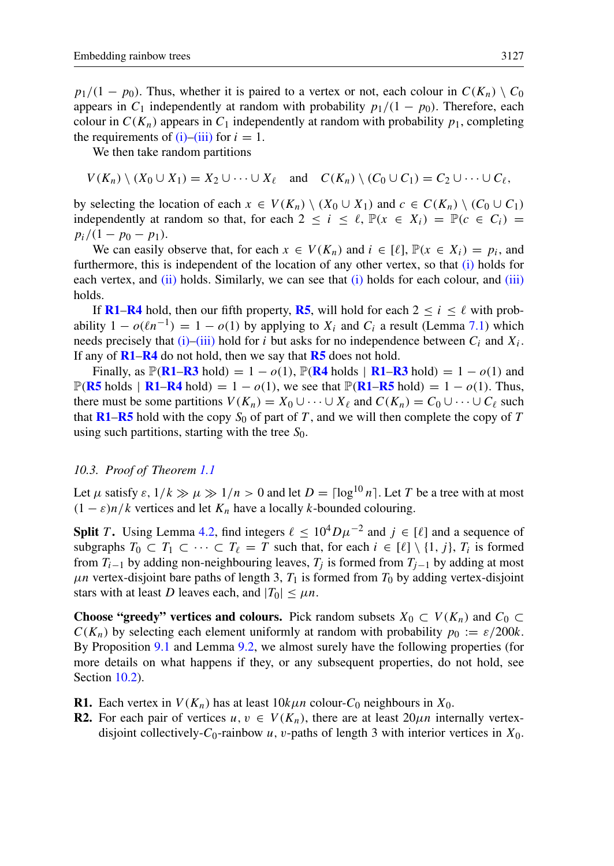$p_1/(1 - p_0)$ . Thus, whether it is paired to a vertex or not, each colour in  $C(K_n) \setminus C_0$ appears in  $C_1$  independently at random with probability  $p_1/(1 - p_0)$ . Therefore, each colour in  $C(K_n)$  appears in  $C_1$  independently at random with probability  $p_1$ , completing the requirements of  $(i)$ – $(iii)$  for  $i = 1$ .

We then take random partitions

 $V(K_n) \setminus (X_0 \cup X_1) = X_2 \cup \cdots \cup X_\ell$  and  $C(K_n) \setminus (C_0 \cup C_1) = C_2 \cup \cdots \cup C_\ell$ ,

by selecting the location of each  $x \in V(K_n) \setminus (X_0 \cup X_1)$  and  $c \in C(K_n) \setminus (C_0 \cup C_1)$ independently at random so that, for each  $2 \le i \le \ell$ ,  $\mathbb{P}(x \in X_i) = \mathbb{P}(c \in C_i)$  $p_i/(1-p_0-p_1).$ 

We can easily observe that, for each  $x \in V(K_n)$  and  $i \in [\ell], \mathbb{P}(x \in X_i) = p_i$ , and furthermore, this is independent of the location of any other vertex, so that [\(i\)](#page-25-2) holds for each vertex, and [\(ii\)](#page-25-4) holds. Similarly, we can see that [\(i\)](#page-25-2) holds for each colour, and [\(iii\)](#page-25-3) holds.

If [R1](#page-26-1)–[R4](#page-27-0) hold, then our fifth property, [R5](#page-28-0), will hold for each  $2 \le i \le \ell$  with probability  $1 - o(\ell n^{-1}) = 1 - o(1)$  by applying to  $X_i$  and  $C_i$  a result (Lemma [7.1\)](#page-18-1) which needs precisely that [\(i\)–](#page-25-2)[\(iii\)](#page-25-3) hold for *i* but asks for no independence between  $C_i$  and  $X_i$ . If any of  $R1-R4$  $R1-R4$  $R1-R4$  do not hold, then we say that  $R5$  does not hold.

Finally, as  $\mathbb{P}(R1-R3 \text{ hold}) = 1 - o(1)$  $\mathbb{P}(R1-R3 \text{ hold}) = 1 - o(1)$  $\mathbb{P}(R1-R3 \text{ hold}) = 1 - o(1)$  $\mathbb{P}(R1-R3 \text{ hold}) = 1 - o(1)$  $\mathbb{P}(R1-R3 \text{ hold}) = 1 - o(1)$ ,  $\mathbb{P}(R4 \text{ holds} | R1-R3 \text{ hold}) = 1 - o(1)$  $\mathbb{P}(R4 \text{ holds} | R1-R3 \text{ hold}) = 1 - o(1)$  $\mathbb{P}(R4 \text{ holds} | R1-R3 \text{ hold}) = 1 - o(1)$  and  $\mathbb{P}(R5 \text{ holds } | R1-R4 \text{ hold}) = 1 - o(1)$  $\mathbb{P}(R5 \text{ holds } | R1-R4 \text{ hold}) = 1 - o(1)$  $\mathbb{P}(R5 \text{ holds } | R1-R4 \text{ hold}) = 1 - o(1)$  $\mathbb{P}(R5 \text{ holds } | R1-R4 \text{ hold}) = 1 - o(1)$  $\mathbb{P}(R5 \text{ holds } | R1-R4 \text{ hold}) = 1 - o(1)$  $\mathbb{P}(R5 \text{ holds } | R1-R4 \text{ hold}) = 1 - o(1)$  $\mathbb{P}(R5 \text{ holds } | R1-R4 \text{ hold}) = 1 - o(1)$ , we see that  $\mathbb{P}(R1-R5 \text{ hold}) = 1 - o(1)$ . Thus, there must be some partitions  $V(K_n) = X_0 \cup \cdots \cup X_\ell$  and  $C(K_n) = C_0 \cup \cdots \cup C_\ell$  such that [R1](#page-26-1)–[R5](#page-28-0) hold with the copy  $S_0$  of part of T, and we will then complete the copy of T using such partitions, starting with the tree  $S_0$ .

#### <span id="page-26-0"></span>*10.3. Proof of Theorem [1.1](#page-1-0)*

Let  $\mu$  satisfy  $\varepsilon$ ,  $1/k \gg \mu \gg 1/n > 0$  and let  $D = \lceil \log^{10} n \rceil$ . Let T be a tree with at most  $(1 - \varepsilon)n/k$  vertices and let  $K_n$  have a locally k-bounded colouring.

**Split** T. Using Lemma [4.2,](#page-11-0) find integers  $\ell \leq 10^4 D \mu^{-2}$  and  $j \in [\ell]$  and a sequence of subgraphs  $T_0 \subset T_1 \subset \cdots \subset T_\ell = T$  such that, for each  $i \in [\ell] \setminus \{1, j\}$ ,  $T_i$  is formed from  $T_{i-1}$  by adding non-neighbouring leaves,  $T_i$  is formed from  $T_{i-1}$  by adding at most  $\mu$ n vertex-disjoint bare paths of length 3,  $T_1$  is formed from  $T_0$  by adding vertex-disjoint stars with at least D leaves each, and  $|T_0| \leq \mu n$ .

**Choose "greedy" vertices and colours.** Pick random subsets  $X_0 \subset V(K_n)$  and  $C_0 \subset V(K_n)$  $C(K_n)$  by selecting each element uniformly at random with probability  $p_0 := \varepsilon/200k$ . By Proposition [9.1](#page-22-2) and Lemma [9.2,](#page-22-0) we almost surely have the following properties (for more details on what happens if they, or any subsequent properties, do not hold, see Section [10.2\)](#page-25-0).

<span id="page-26-1"></span>**R1.** Each vertex in  $V(K_n)$  has at least  $10k\mu n$  colour-C<sub>0</sub> neighbours in  $X_0$ .

<span id="page-26-2"></span>**R2.** For each pair of vertices  $u, v \in V(K_n)$ , there are at least  $20\mu n$  internally vertexdisjoint collectively- $C_0$ -rainbow u, v-paths of length 3 with interior vertices in  $X_0$ .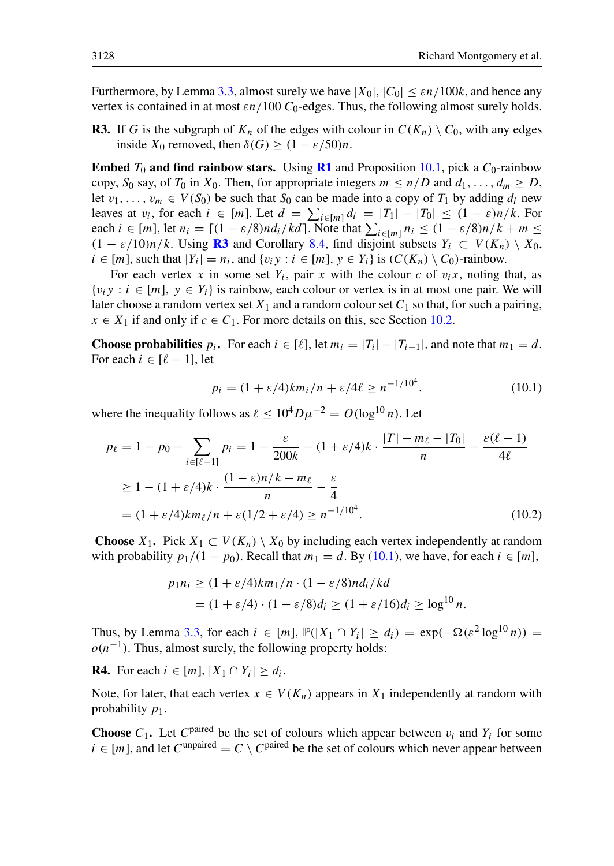Furthermore, by Lemma [3.3,](#page-9-0) almost surely we have  $|X_0|, |C_0| \leq \varepsilon n/100k$ , and hence any vertex is contained in at most  $\epsilon n/100 C_0$ -edges. Thus, the following almost surely holds.

<span id="page-27-1"></span>**R3.** If G is the subgraph of  $K_n$  of the edges with colour in  $C(K_n) \setminus C_0$ , with any edges inside  $X_0$  removed, then  $\delta(G) \geq (1 - \varepsilon/50)n$ .

**Embed**  $T_0$  and find rainbow stars. Using **[R1](#page-26-1)** and Proposition [10.1,](#page-24-1) pick a  $C_0$ -rainbow copy,  $S_0$  say, of  $T_0$  in  $X_0$ . Then, for appropriate integers  $m \le n/D$  and  $d_1, \ldots, d_m \ge D$ , let  $v_1, \ldots, v_m \in V(S_0)$  be such that  $S_0$  can be made into a copy of  $T_1$  by adding  $d_i$  new leaves at  $v_i$ , for each  $i \in [m]$ . Let  $d = \sum_{i \in [m]} d_i = |T_1| - |T_0| \le (1 - \varepsilon)n/k$ . For each  $i \in [m]$ , let  $n_i = \lceil (1 - \varepsilon/8)nd_i/kd \rceil$ . Note that  $\sum_{i \in [m]} n_i \leq (1 - \varepsilon/8)n/k + m \leq$  $(1 - \varepsilon/10)n/k$ . Using **[R3](#page-27-1)** and Corollary [8.4,](#page-22-1) find disjoint subsets  $Y_i \subset V(K_n) \setminus X_0$ ,  $i \in [m]$ , such that  $|Y_i| = n_i$ , and  $\{v_i y : i \in [m], y \in Y_i\}$  is  $(C(K_n) \setminus C_0)$ -rainbow.

For each vertex x in some set  $Y_i$ , pair x with the colour c of  $v_i x$ , noting that, as  $\{v_i y : i \in [m], y \in Y_i\}$  is rainbow, each colour or vertex is in at most one pair. We will later choose a random vertex set  $X_1$  and a random colour set  $C_1$  so that, for such a pairing,  $x \in X_1$  if and only if  $c \in C_1$ . For more details on this, see Section [10.2.](#page-25-0)

**Choose probabilities**  $p_i$ . For each  $i \in [\ell]$ , let  $m_i = |T_i| - |T_{i-1}|$ , and note that  $m_1 = d$ . For each  $i \in [\ell - 1]$ , let

<span id="page-27-3"></span><span id="page-27-2"></span>
$$
p_i = (1 + \varepsilon/4)km_i/n + \varepsilon/4\ell \ge n^{-1/10^4},
$$
\n(10.1)

where the inequality follows as  $\ell < 10^4 D \mu^{-2} = O(\log^{10} n)$ . Let

$$
p_{\ell} = 1 - p_0 - \sum_{i \in [\ell - 1]} p_i = 1 - \frac{\varepsilon}{200k} - (1 + \varepsilon/4)k \cdot \frac{|T| - m_{\ell} - |T_0|}{n} - \frac{\varepsilon(\ell - 1)}{4\ell}
$$
  
\n
$$
\geq 1 - (1 + \varepsilon/4)k \cdot \frac{(1 - \varepsilon)n/k - m_{\ell}}{n} - \frac{\varepsilon}{4}
$$
  
\n
$$
= (1 + \varepsilon/4)km_{\ell}/n + \varepsilon(1/2 + \varepsilon/4) \geq n^{-1/10^4}.
$$
 (10.2)

**Choose**  $X_1$ . Pick  $X_1 \subset V(K_n) \setminus X_0$  by including each vertex independently at random with probability  $p_1/(1 - p_0)$ . Recall that  $m_1 = d$ . By [\(10.1\)](#page-27-2), we have, for each  $i \in [m]$ ,

$$
p_1 n_i \ge (1 + \varepsilon/4)km_1/n \cdot (1 - \varepsilon/8)nd_i/kd
$$
  
=  $(1 + \varepsilon/4) \cdot (1 - \varepsilon/8)d_i \ge (1 + \varepsilon/16)d_i \ge \log^{10} n.$ 

Thus, by Lemma [3.3,](#page-9-0) for each  $i \in [m]$ ,  $\mathbb{P}(|X_1 \cap Y_i| \ge d_i) = \exp(-\Omega(\varepsilon^2 \log^{10} n)) =$  $o(n^{-1})$ . Thus, almost surely, the following property holds:

<span id="page-27-0"></span>**R4.** For each  $i \in [m]$ ,  $|X_1 \cap Y_i| \ge d_i$ .

Note, for later, that each vertex  $x \in V(K_n)$  appears in  $X_1$  independently at random with probability  $p_1$ .

**Choose**  $C_1$ . Let  $C^{\text{paired}}$  be the set of colours which appear between  $v_i$  and  $Y_i$  for some  $i \in [m]$ , and let  $C^{\text{unpaired}} = C \setminus C^{\text{paired}}$  be the set of colours which never appear between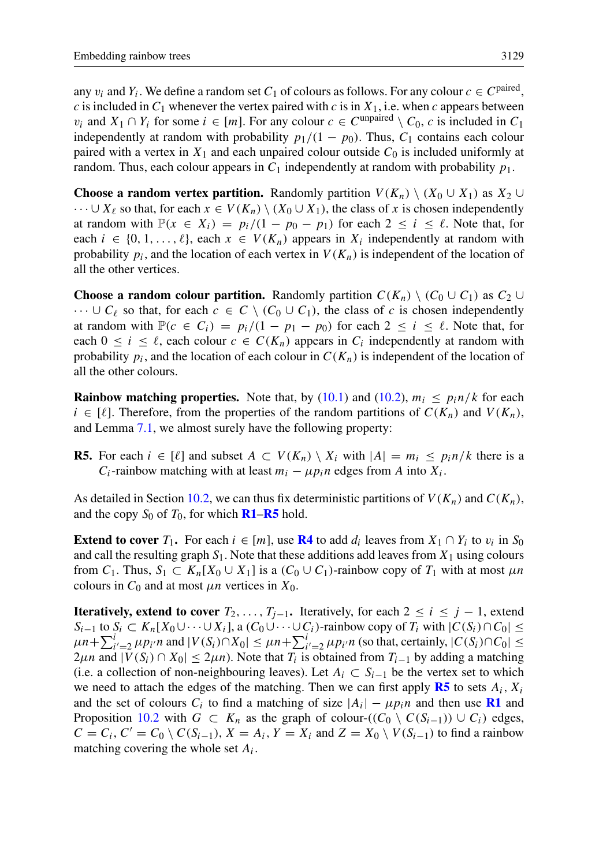any  $v_i$  and  $Y_i$ . We define a random set  $C_1$  of colours as follows. For any colour  $c \in C^{\text{paired}}$ , c is included in  $C_1$  whenever the vertex paired with c is in  $X_1$ , i.e. when c appears between  $v_i$  and  $X_1 \cap Y_i$  for some  $i \in [m]$ . For any colour  $c \in C^{\text{unpaired}} \setminus C_0$ , c is included in  $C_1$ independently at random with probability  $p_1/(1 - p_0)$ . Thus,  $C_1$  contains each colour paired with a vertex in  $X_1$  and each unpaired colour outside  $C_0$  is included uniformly at random. Thus, each colour appears in  $C_1$  independently at random with probability  $p_1$ .

**Choose a random vertex partition.** Randomly partition  $V(K_n) \setminus (X_0 \cup X_1)$  as  $X_2 \cup$  $\cdots \cup X_\ell$  so that, for each  $x \in V(K_n) \setminus (X_0 \cup X_1)$ , the class of x is chosen independently at random with  $\mathbb{P}(x \in X_i) = p_i/(1 - p_0 - p_1)$  for each  $2 \le i \le \ell$ . Note that, for each  $i \in \{0, 1, \ldots, \ell\}$ , each  $x \in V(K_n)$  appears in  $X_i$  independently at random with probability  $p_i$ , and the location of each vertex in  $V(K_n)$  is independent of the location of all the other vertices.

**Choose a random colour partition.** Randomly partition  $C(K_n) \setminus (C_0 \cup C_1)$  as  $C_2 \cup C_1$  $\cdots \cup C_\ell$  so that, for each  $c \in C \setminus (C_0 \cup C_1)$ , the class of c is chosen independently at random with  $\mathbb{P}(c \in C_i) = p_i/(1 - p_1 - p_0)$  for each  $2 \le i \le \ell$ . Note that, for each  $0 \le i \le \ell$ , each colour  $c \in C(K_n)$  appears in  $C_i$  independently at random with probability  $p_i$ , and the location of each colour in  $C(K_n)$  is independent of the location of all the other colours.

**Rainbow matching properties.** Note that, by [\(10.1\)](#page-27-2) and [\(10.2\)](#page-27-3),  $m_i \leq p_i n/k$  for each  $i \in [\ell]$ . Therefore, from the properties of the random partitions of  $C(K_n)$  and  $V(K_n)$ , and Lemma [7.1,](#page-18-1) we almost surely have the following property:

<span id="page-28-0"></span>**R5.** For each  $i \in [\ell]$  and subset  $A \subset V(K_n) \setminus X_i$  with  $|A| = m_i \leq p_i n/k$  there is a  $C_i$ -rainbow matching with at least  $m_i - \mu p_i n$  edges from A into  $X_i$ .

As detailed in Section [10.2,](#page-25-0) we can thus fix deterministic partitions of  $V(K_n)$  and  $C(K_n)$ , and the copy  $S_0$  of  $T_0$ , for which **[R1](#page-26-1)–[R5](#page-28-0)** hold.

**Extend to cover**  $T_1$ . For each  $i \in [m]$ , use **[R4](#page-27-0)** to add  $d_i$  leaves from  $X_1 \cap Y_i$  to  $v_i$  in  $S_0$ and call the resulting graph  $S_1$ . Note that these additions add leaves from  $X_1$  using colours from  $C_1$ . Thus,  $S_1 \subset K_n[X_0 \cup X_1]$  is a  $(C_0 \cup C_1)$ -rainbow copy of  $T_1$  with at most  $\mu n$ colours in  $C_0$  and at most  $\mu n$  vertices in  $X_0$ .

**Iteratively, extend to cover**  $T_2, \ldots, T_{i-1}$ . Iteratively, for each  $2 \leq i \leq j-1$ , extend  $S_{i-1}$  to  $S_i \subset K_n[X_0 \cup \cdots \cup X_i]$ , a  $(C_0 \cup \cdots \cup C_i)$ -rainbow copy of  $T_i$  with  $|C(S_i) \cap C_0|$  $\mu n + \sum_{i'=2}^{i} \mu p_{i'} n$  and  $|V(S_i) \cap X_0| \leq \mu n + \sum_{i'=2}^{i} \mu p_{i'} n$  (so that, certainly,  $|C(S_i) \cap C_0| \leq$  $2\mu n$  and  $|V(S_i) \cap X_0| \leq 2\mu n$ ). Note that  $T_i$  is obtained from  $T_{i-1}$  by adding a matching (i.e. a collection of non-neighbouring leaves). Let  $A_i$  ⊂  $S_{i-1}$  be the vertex set to which we need to attach the edges of the matching. Then we can first apply **[R5](#page-28-0)** to sets  $A_i$ ,  $X_i$ and the set of colours  $C_i$  to find a matching of size  $|A_i| - \mu p_i n$  and then use **[R1](#page-26-1)** and Proposition [10.2](#page-24-2) with  $G \subset K_n$  as the graph of colour- $((C_0 \setminus C(S_{i-1})) \cup C_i)$  edges,  $C = C_i$ ,  $C' = C_0 \setminus C(S_{i-1})$ ,  $X = A_i$ ,  $Y = X_i$  and  $Z = X_0 \setminus V(S_{i-1})$  to find a rainbow matching covering the whole set  $A_i$ .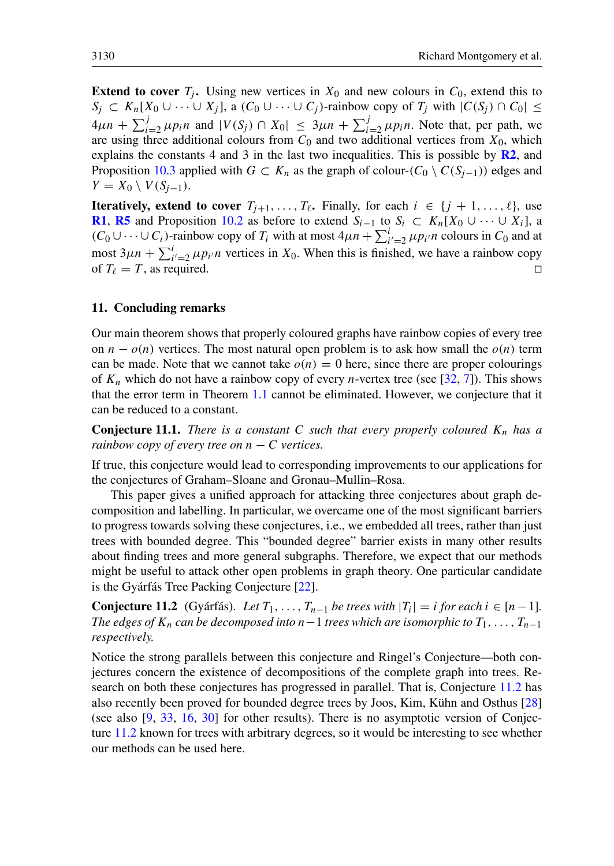**Extend to cover**  $T_i$ . Using new vertices in  $X_0$  and new colours in  $C_0$ , extend this to  $S_j \subset K_n[X_0 \cup \cdots \cup X_j]$ , a  $(C_0 \cup \cdots \cup C_j)$ -rainbow copy of  $T_j$  with  $|C(S_j) \cap C_0| \leq$  $4\mu n + \sum_{i=2}^{j} \mu p_i n$  and  $|V(S_j) \cap X_0| \leq 3\mu n + \sum_{i=2}^{j} \mu p_i n$ . Note that, per path, we are using three additional colours from  $C_0$  and two additional vertices from  $X_0$ , which explains the constants 4 and 3 in the last two inequalities. This is possible by  $\mathbb{R}^2$ , and Proposition [10.3](#page-24-3) applied with  $G \subset K_n$  as the graph of colour- $(C_0 \setminus C(S_{i-1}))$  edges and  $Y = X_0 \setminus V(S_{i-1}).$ 

**Iteratively, extend to cover**  $T_{j+1}, \ldots, T_{\ell}$ . Finally, for each  $i \in \{j + 1, \ldots, \ell\}$ , use **[R1](#page-26-1), [R5](#page-28-0)** and Proposition [10.2](#page-24-2) as before to extend  $S_{i-1}$  to  $S_i \subset K_n[X_0 \cup \cdots \cup X_i]$ , a  $(C_0 \cup \cdots \cup C_i)$ -rainbow copy of  $T_i$  with at most  $4\mu n + \sum_{i'=2}^{i} \mu p_{i'} n$  colours in  $C_0$  and at most  $3\mu n + \sum_{i'=2}^{i} \mu p_i$  vertices in  $X_0$ . When this is finished, we have a rainbow copy of  $T_\ell = T$ , as required.

## 11. Concluding remarks

Our main theorem shows that properly coloured graphs have rainbow copies of every tree on  $n - o(n)$  vertices. The most natural open problem is to ask how small the  $o(n)$  term can be made. Note that we cannot take  $o(n) = 0$  here, since there are proper colourings of  $K_n$  which do not have a rainbow copy of every *n*-vertex tree (see [\[32,](#page-31-5) [7\]](#page-30-8)). This shows that the error term in Theorem [1.1](#page-1-0) cannot be eliminated. However, we conjecture that it can be reduced to a constant.

**Conjecture 11.1.** *There is a constant* C *such that every properly coloured*  $K_n$  *has a rainbow copy of every tree on*  $n - C$  *vertices.* 

If true, this conjecture would lead to corresponding improvements to our applications for the conjectures of Graham–Sloane and Gronau–Mullin–Rosa.

This paper gives a unified approach for attacking three conjectures about graph decomposition and labelling. In particular, we overcame one of the most significant barriers to progress towards solving these conjectures, i.e., we embedded all trees, rather than just trees with bounded degree. This "bounded degree" barrier exists in many other results about finding trees and more general subgraphs. Therefore, we expect that our methods might be useful to attack other open problems in graph theory. One particular candidate is the Gyárfás Tree Packing Conjecture [\[22\]](#page-31-21).

<span id="page-29-0"></span>**Conjecture 11.2** (Gyárfás). *Let*  $T_1, ..., T_{n-1}$  *be trees with*  $|T_i| = i$  *for each*  $i \in [n-1]$ *. The edges of*  $K_n$  *can be decomposed into*  $n-1$  *trees which are isomorphic to*  $T_1, \ldots, T_{n-1}$ *respectively.*

Notice the strong parallels between this conjecture and Ringel's Conjecture—both conjectures concern the existence of decompositions of the complete graph into trees. Research on both these conjectures has progressed in parallel. That is, Conjecture [11.2](#page-29-0) has also recently been proved for bounded degree trees by Joos, Kim, Kühn and Osthus [\[28\]](#page-31-13) (see also [\[9,](#page-30-10) [33,](#page-31-11) [16,](#page-30-11) [30\]](#page-31-12) for other results). There is no asymptotic version of Conjecture [11.2](#page-29-0) known for trees with arbitrary degrees, so it would be interesting to see whether our methods can be used here.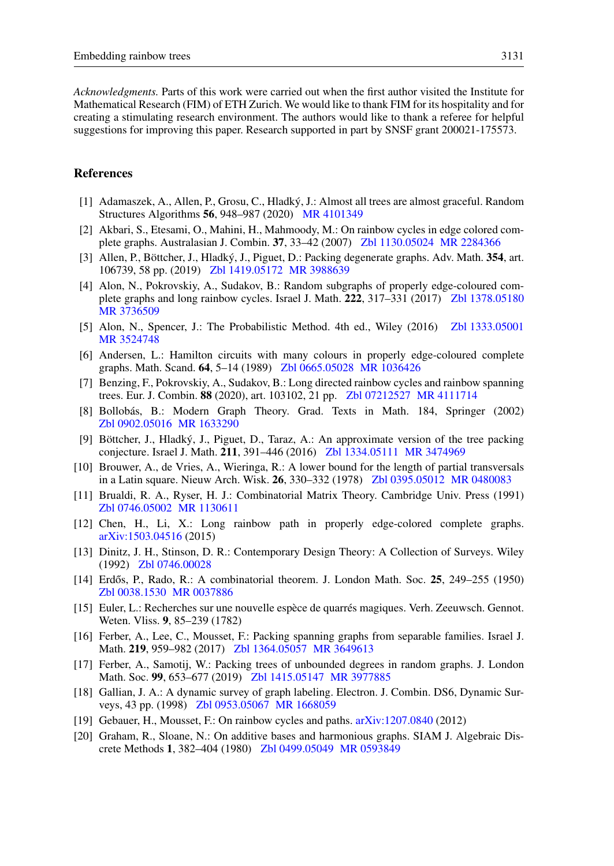*Acknowledgments.* Parts of this work were carried out when the first author visited the Institute for Mathematical Research (FIM) of ETH Zurich. We would like to thank FIM for its hospitality and for creating a stimulating research environment. The authors would like to thank a referee for helpful suggestions for improving this paper. Research supported in part by SNSF grant 200021-175573.

#### **References**

- <span id="page-30-13"></span>[1] Adamaszek, A., Allen, P., Grosu, C., Hladký, J.: Almost all trees are almost graceful. Random Structures Algorithms 56, 948–987 (2020) [MR 4101349](http://www.ams.org/mathscinet-getitem?mr=4101349)
- <span id="page-30-4"></span>[2] Akbari, S., Etesami, O., Mahini, H., Mahmoody, M.: On rainbow cycles in edge colored complete graphs. Australasian J. Combin. 37, 33–42 (2007) [Zbl 1130.05024](http://www.zentralblatt-math.org/zmath/en/advanced/?q=an:1130.05024&format=complete) [MR 2284366](http://www.ams.org/mathscinet-getitem?mr=2284366)
- <span id="page-30-14"></span>[3] Allen, P., Böttcher, J., Hladký, J., Piguet, D.: Packing degenerate graphs. Adv. Math. 354, art. 106739, 58 pp. (2019) [Zbl 1419.05172](http://www.zentralblatt-math.org/zmath/en/advanced/?q=an:1419.05172&format=complete) [MR 3988639](http://www.ams.org/mathscinet-getitem?mr=3988639)
- <span id="page-30-7"></span>[4] Alon, N., Pokrovskiy, A., Sudakov, B.: Random subgraphs of properly edge-coloured complete graphs and long rainbow cycles. Israel J. Math. 222, 317–331 (2017) [Zbl 1378.05180](http://www.zentralblatt-math.org/zmath/en/advanced/?q=an:1378.05180&format=complete) [MR 3736509](http://www.ams.org/mathscinet-getitem?mr=3736509)
- <span id="page-30-18"></span>[5] Alon, N., Spencer, J.: The Probabilistic Method. 4th ed., Wiley (2016) [Zbl 1333.05001](http://www.zentralblatt-math.org/zmath/en/advanced/?q=an:1333.05001&format=complete) [MR 3524748](http://www.ams.org/mathscinet-getitem?mr=3524748)
- <span id="page-30-3"></span>[6] Andersen, L.: Hamilton circuits with many colours in properly edge-coloured complete graphs. Math. Scand. 64, 5–14 (1989) [Zbl 0665.05028](http://www.zentralblatt-math.org/zmath/en/advanced/?q=an:0665.05028&format=complete) [MR 1036426](http://www.ams.org/mathscinet-getitem?mr=1036426)
- <span id="page-30-8"></span>[7] Benzing, F., Pokrovskiy, A., Sudakov, B.: Long directed rainbow cycles and rainbow spanning trees. Eur. J. Combin. 88 (2020), art. 103102, 21 pp. [Zbl 07212527](http://www.zentralblatt-math.org/zmath/en/advanced/?q=an:07212527&format=complete) [MR 4111714](http://www.ams.org/mathscinet-getitem?mr=4111714)
- <span id="page-30-19"></span>[8] Bollobás, B.: Modern Graph Theory. Grad. Texts in Math. 184, Springer (2002) [Zbl 0902.05016](http://www.zentralblatt-math.org/zmath/en/advanced/?q=an:0902.05016&format=complete) [MR 1633290](http://www.ams.org/mathscinet-getitem?mr=1633290)
- <span id="page-30-10"></span>[9] Böttcher, J., Hladký, J., Piguet, D., Taraz, A.: An approximate version of the tree packing conjecture. Israel J. Math. 211, 391–446 (2016) [Zbl 1334.05111](http://www.zentralblatt-math.org/zmath/en/advanced/?q=an:1334.05111&format=complete) [MR 3474969](http://www.ams.org/mathscinet-getitem?mr=3474969)
- <span id="page-30-17"></span>[10] Brouwer, A., de Vries, A., Wieringa, R.: A lower bound for the length of partial transversals in a Latin square. Nieuw Arch. Wisk. 26, 330–332 (1978) [Zbl 0395.05012](http://www.zentralblatt-math.org/zmath/en/advanced/?q=an:0395.05012&format=complete) [MR 0480083](http://www.ams.org/mathscinet-getitem?mr=0480083)
- <span id="page-30-1"></span>[11] Brualdi, R. A., Ryser, H. J.: Combinatorial Matrix Theory. Cambridge Univ. Press (1991) [Zbl 0746.05002](http://www.zentralblatt-math.org/zmath/en/advanced/?q=an:0746.05002&format=complete) [MR 1130611](http://www.ams.org/mathscinet-getitem?mr=1130611)
- <span id="page-30-6"></span>[12] Chen, H., Li, X.: Long rainbow path in properly edge-colored complete graphs. [arXiv:1503.04516](http://arxiv.org/abs/1503.04516) (2015)
- <span id="page-30-16"></span>[13] Dinitz, J. H., Stinson, D. R.: Contemporary Design Theory: A Collection of Surveys. Wiley (1992) [Zbl 0746.00028](http://www.zentralblatt-math.org/zmath/en/advanced/?q=an:0746.00028&format=complete)
- <span id="page-30-2"></span>[14] Erdős, P., Rado, R.: A combinatorial theorem. J. London Math. Soc. 25, 249–255 (1950) [Zbl 0038.1530](http://www.zentralblatt-math.org/zmath/en/advanced/?q=an:0038.1530&format=complete) [MR 0037886](http://www.ams.org/mathscinet-getitem?mr=0037886)
- <span id="page-30-0"></span>[15] Euler, L.: Recherches sur une nouvelle espèce de quarrés magiques. Verh. Zeeuwsch. Gennot. Weten. Vliss. 9, 85–239 (1782)
- <span id="page-30-11"></span>[16] Ferber, A., Lee, C., Mousset, F.: Packing spanning graphs from separable families. Israel J. Math. 219, 959–982 (2017) [Zbl 1364.05057](http://www.zentralblatt-math.org/zmath/en/advanced/?q=an:1364.05057&format=complete) [MR 3649613](http://www.ams.org/mathscinet-getitem?mr=3649613)
- <span id="page-30-12"></span>[17] Ferber, A., Samotij, W.: Packing trees of unbounded degrees in random graphs. J. London Math. Soc. 99, 653–677 (2019) [Zbl 1415.05147](http://www.zentralblatt-math.org/zmath/en/advanced/?q=an:1415.05147&format=complete) [MR 3977885](http://www.ams.org/mathscinet-getitem?mr=3977885)
- <span id="page-30-9"></span>[18] Gallian, J. A.: A dynamic survey of graph labeling. Electron. J. Combin. DS6, Dynamic Surveys, 43 pp. (1998) [Zbl 0953.05067](http://www.zentralblatt-math.org/zmath/en/advanced/?q=an:0953.05067&format=complete) [MR 1668059](http://www.ams.org/mathscinet-getitem?mr=1668059)
- <span id="page-30-5"></span>[19] Gebauer, H., Mousset, F.: On rainbow cycles and paths. [arXiv:1207.0840](http://arxiv.org/abs/1207.0840) (2012)
- <span id="page-30-15"></span>[20] Graham, R., Sloane, N.: On additive bases and harmonious graphs. SIAM J. Algebraic Discrete Methods 1, 382–404 (1980) [Zbl 0499.05049](http://www.zentralblatt-math.org/zmath/en/advanced/?q=an:0499.05049&format=complete) [MR 0593849](http://www.ams.org/mathscinet-getitem?mr=0593849)